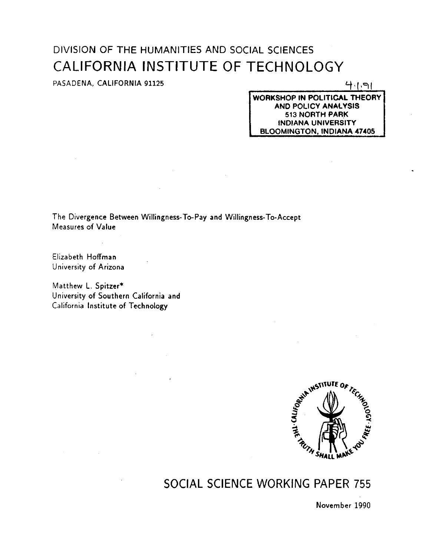# DIVISION OF THE HUMANITIES AND SOCIAL SCIENCES CALIFORNIA INSTITUTE OF TECHNOLOGY

# PASADENA, CALIFORNIA 91125

 $4191$ 

WORKSHOP IN POLITICAL THEORY AND POLICY ANALYSIS 513 NORTH PARK INDIANA UNIVERSITY BLOOMINGTON, INDIANA 47405

The Divergence Between Willingness-To-Pay and Willingness-To-Accept Measures of Value

Elizabeth Hoffman University of Arizona

 $\mathcal{A}^{\mathcal{A}}$  and  $\mathcal{A}^{\mathcal{A}}$  are  $\mathcal{A}^{\mathcal{A}}$  . Then  $\mathcal{A}^{\mathcal{A}}$ 

Matthew L. Spitzer\* University of Southern California and California Institute of Technology



# SOCIAL SCIENCE WORKING PAPER 755

November 1990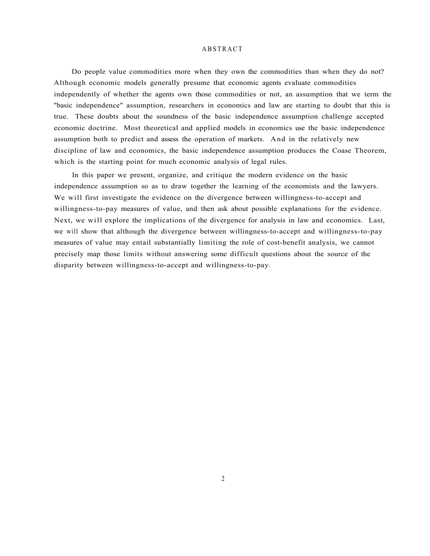#### ABSTRACT

Do people value commodities more when they own the commodities than when they do not? Although economic models generally presume that economic agents evaluate commodities independently of whether the agents own those commodities or not, an assumption that we term the "basic independence" assumption, researchers in economics and law are starting to doubt that this is true. These doubts about the soundness of the basic independence assumption challenge accepted economic doctrine. Most theoretical and applied models in economics use the basic independence assumption both to predict and assess the operation of markets. And in the relatively new discipline of law and economics, the basic independence assumption produces the Coase Theorem, which is the starting point for much economic analysis of legal rules.

In this paper we present, organize, and critique the modern evidence on the basic independence assumption so as to draw together the learning of the economists and the lawyers. We will first investigate the evidence on the divergence between willingness-to-accept and willingness-to-pay measures of value, and then ask about possible explanations for the evidence. Next, we will explore the implications of the divergence for analysis in law and economics. Last, we will show that although the divergence between willingness-to-accept and willingness-to-pay measures of value may entail substantially limiting the role of cost-benefit analysis, we cannot precisely map those limits without answering some difficult questions about the source of the disparity between willingness-to-accept and willingness-to-pay.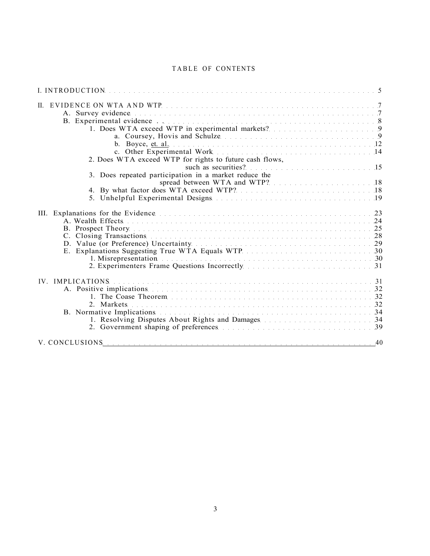# TABLE OF CONTENTS

| 1. Does WTA exceed WTP in experimental markets? 9                                                                                      |
|----------------------------------------------------------------------------------------------------------------------------------------|
| 2. Does WTA exceed WTP for rights to future cash flows,<br>such as securities? 15                                                      |
| 3. Does repeated participation in a market reduce the<br>spread between WTA and WTP? 18                                                |
| E. Explanations Suggesting True WTA Equals WTP 30<br>2. Experimenters Frame Questions Incorrectly manuscript and contained a set of 31 |
|                                                                                                                                        |
|                                                                                                                                        |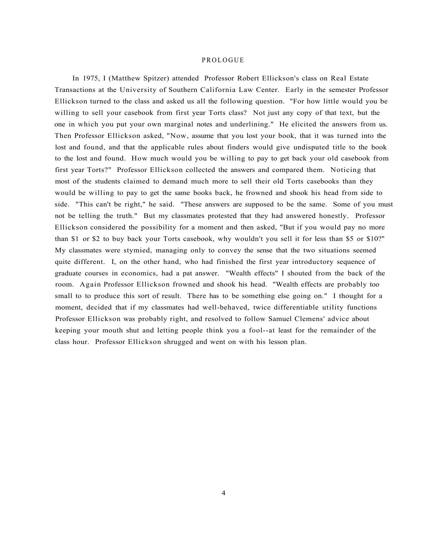#### PROLOGUE

In 1975, I (Matthew Spitzer) attended Professor Robert Ellickson's class on Real Estate Transactions at the University of Southern California Law Center. Early in the semester Professor Ellickson turned to the class and asked us all the following question. "For how little would you be willing to sell your casebook from first year Torts class? Not just any copy of that text, but the one in which you put your own marginal notes and underlining." He elicited the answers from us. Then Professor Ellickson asked, "Now, assume that you lost your book, that it was turned into the lost and found, and that the applicable rules about finders would give undisputed title to the book to the lost and found. How much would you be willing to pay to get back your old casebook from first year Torts?" Professor Ellickson collected the answers and compared them. Noticing that most of the students claimed to demand much more to sell their old Torts casebooks than they would be willing to pay to get the same books back, he frowned and shook his head from side to side. "This can't be right," he said. "These answers are supposed to be the same. Some of you must not be telling the truth." But my classmates protested that they had answered honestly. Professor Ellickson considered the possibility for a moment and then asked, "But if you would pay no more than \$1 or \$2 to buy back your Torts casebook, why wouldn't you sell it for less than \$5 or \$10?" My classmates were stymied, managing only to convey the sense that the two situations seemed quite different. I, on the other hand, who had finished the first year introductory sequence of graduate courses in economics, had a pat answer. "Wealth effects" I shouted from the back of the room. Again Professor Ellickson frowned and shook his head. "Wealth effects are probably too small to to produce this sort of result. There has to be something else going on." I thought for a moment, decided that if my classmates had well-behaved, twice differentiable utility functions Professor Ellickson was probably right, and resolved to follow Samuel Clemens' advice about keeping your mouth shut and letting people think you a fool--at least for the remainder of the class hour. Professor Ellickson shrugged and went on with his lesson plan.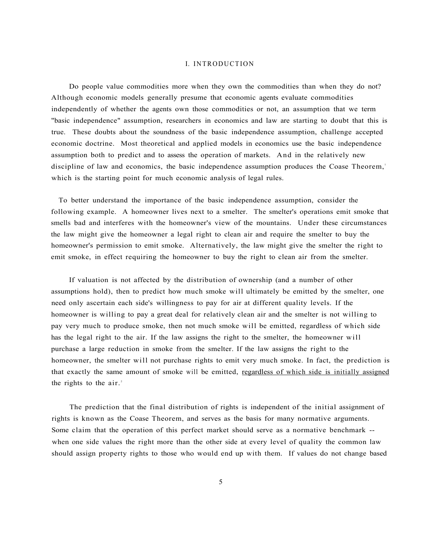# I. INTRODUCTION

Do people value commodities more when they own the commodities than when they do not? Although economic models generally presume that economic agents evaluate commodities independently of whether the agents own those commodities or not, an assumption that we term "basic independence" assumption, researchers in economics and law are starting to doubt that this is true. These doubts about the soundness of the basic independence assumption, challenge accepted economic doctrine. Most theoretical and applied models in economics use the basic independence assumption both to predict and to assess the operation of markets. And in the relatively new discipline of law and economics, the basic independence assumption produces the Coase Theorem, which is the starting point for much economic analysis of legal rules.

To better understand the importance of the basic independence assumption, consider the following example. A homeowner lives next to a smelter. The smelter's operations emit smoke that smells bad and interferes with the homeowner's view of the mountains. Under these circumstances the law might give the homeowner a legal right to clean air and require the smelter to buy the homeowner's permission to emit smoke. Alternatively, the law might give the smelter the right to emit smoke, in effect requiring the homeowner to buy the right to clean air from the smelter.

If valuation is not affected by the distribution of ownership (and a number of other assumptions hold), then to predict how much smoke will ultimately be emitted by the smelter, one need only ascertain each side's willingness to pay for air at different quality levels. If the homeowner is willing to pay a great deal for relatively clean air and the smelter is not willing to pay very much to produce smoke, then not much smoke will be emitted, regardless of which side has the legal right to the air. If the law assigns the right to the smelter, the homeowner will purchase a large reduction in smoke from the smelter. If the law assigns the right to the homeowner, the smelter will not purchase rights to emit very much smoke. In fact, the prediction is that exactly the same amount of smoke will be emitted, regardless of which side is initially assigned the rights to the  $air<sup>2</sup>$ .

The prediction that the final distribution of rights is independent of the initial assignment of rights is known as the Coase Theorem, and serves as the basis for many normative arguments. Some claim that the operation of this perfect market should serve as a normative benchmark - when one side values the right more than the other side at every level of quality the common law should assign property rights to those who would end up with them. If values do not change based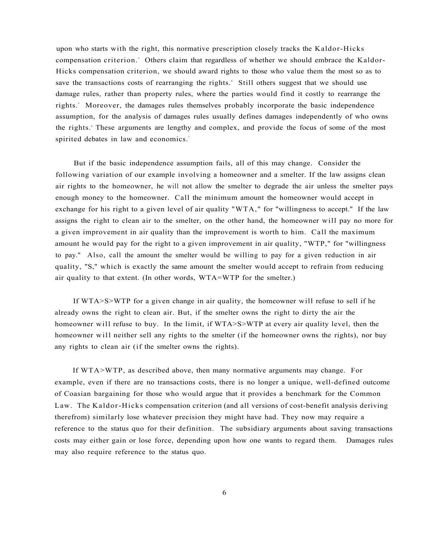upon who starts with the right, this normative prescription closely tracks the Kaldor-Hicks compensation criterion.<sup>3</sup> Others claim that regardless of whether we should embrace the Kaldor-Hicks compensation criterion, we should award rights to those who value them the most so as to save the transactions costs of rearranging the rights.<sup>4</sup> Still others suggest that we should use damage rules, rather than property rules, where the parties would find it costly to rearrange the rights.<sup>5</sup> Moreover, the damages rules themselves probably incorporate the basic independence assumption, for the analysis of damages rules usually defines damages independently of who owns the rights.' These arguments are lengthy and complex, and provide the focus of some of the most spirited debates in law and economics.<sup>7</sup>

But if the basic independence assumption fails, all of this may change. Consider the following variation of our example involving a homeowner and a smelter. If the law assigns clean air rights to the homeowner, he will not allow the smelter to degrade the air unless the smelter pays enough money to the homeowner. Call the minimum amount the homeowner would accept in exchange for his right to a given level of air quality "WTA," for "willingness to accept." If the law assigns the right to clean air to the smelter, on the other hand, the homeowner will pay no more for a given improvement in air quality than the improvement is worth to him. Call the maximum amount he would pay for the right to a given improvement in air quality, "WTP," for "willingness to pay." Also, call the amount the smelter would be willing to pay for a given reduction in air quality, "S," which is exactly the same amount the smelter would accept to refrain from reducing air quality to that extent. (In other words, WTA=WTP for the smelter.)

If WTA>S>WTP for a given change in air quality, the homeowner will refuse to sell if he already owns the right to clean air. But, if the smelter owns the right to dirty the air the homeowner will refuse to buy. In the limit, if WTA>S>WTP at every air quality level, then the homeowner will neither sell any rights to the smelter (if the homeowner owns the rights), nor buy any rights to clean air (if the smelter owns the rights).

If WTA>WTP, as described above, then many normative arguments may change. For example, even if there are no transactions costs, there is no longer a unique, well-defined outcome of Coasian bargaining for those who would argue that it provides a benchmark for the Common Law. The Kaldor-Hicks compensation criterion (and all versions of cost-benefit analysis deriving therefrom) similarly lose whatever precision they might have had. They now may require a reference to the status quo for their definition. The subsidiary arguments about saving transactions costs may either gain or lose force, depending upon how one wants to regard them. Damages rules may also require reference to the status quo.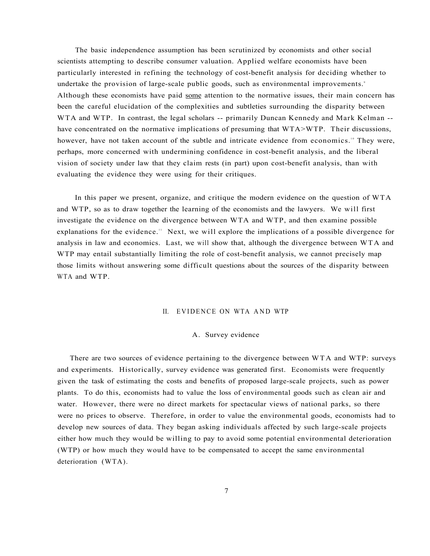The basic independence assumption has been scrutinized by economists and other social scientists attempting to describe consumer valuation. Applied welfare economists have been particularly interested in refining the technology of cost-benefit analysis for deciding whether to undertake the provision of large-scale public goods, such as environmental improvements.<sup>9</sup> Although these economists have paid some attention to the normative issues, their main concern has been the careful elucidation of the complexities and subtleties surrounding the disparity between WTA and WTP. In contrast, the legal scholars -- primarily Duncan Kennedy and Mark Kelman -have concentrated on the normative implications of presuming that WTA>WTP. Their discussions, however, have not taken account of the subtle and intricate evidence from economics.<sup>10</sup> They were, perhaps, more concerned with undermining confidence in cost-benefit analysis, and the liberal vision of society under law that they claim rests (in part) upon cost-benefit analysis, than with evaluating the evidence they were using for their critiques.

In this paper we present, organize, and critique the modern evidence on the question of WTA and WTP, so as to draw together the learning of the economists and the lawyers. We will first investigate the evidence on the divergence between WTA and WTP, and then examine possible explanations for the evidence.<sup>11</sup> Next, we will explore the implications of a possible divergence for analysis in law and economics. Last, we will show that, although the divergence between WTA and WTP may entail substantially limiting the role of cost-benefit analysis, we cannot precisely map those limits without answering some difficult questions about the sources of the disparity between WTA and WTP.

#### II. EVIDENCE ON WTA AND WTP

# A. Survey evidence

There are two sources of evidence pertaining to the divergence between WTA and WTP: surveys and experiments. Historically, survey evidence was generated first. Economists were frequently given the task of estimating the costs and benefits of proposed large-scale projects, such as power plants. To do this, economists had to value the loss of environmental goods such as clean air and water. However, there were no direct markets for spectacular views of national parks, so there were no prices to observe. Therefore, in order to value the environmental goods, economists had to develop new sources of data. They began asking individuals affected by such large-scale projects either how much they would be willing to pay to avoid some potential environmental deterioration (WTP) or how much they would have to be compensated to accept the same environmental deterioration (WTA).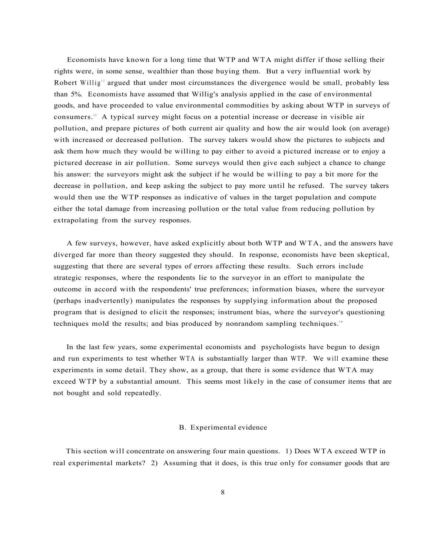Economists have known for a long time that WTP and WTA might differ if those selling their rights were, in some sense, wealthier than those buying them. But a very influential work by Robert Willig<sup>12</sup> argued that under most circumstances the divergence would be small, probably less than 5%. Economists have assumed that Willig's analysis applied in the case of environmental goods, and have proceeded to value environmental commodities by asking about WTP in surveys of consumers.<sup>13</sup> A typical survey might focus on a potential increase or decrease in visible air pollution, and prepare pictures of both current air quality and how the air would look (on average) with increased or decreased pollution. The survey takers would show the pictures to subjects and ask them how much they would be willing to pay either to avoid a pictured increase or to enjoy a pictured decrease in air pollution. Some surveys would then give each subject a chance to change his answer: the surveyors might ask the subject if he would be willing to pay a bit more for the decrease in pollution, and keep asking the subject to pay more until he refused. The survey takers would then use the WTP responses as indicative of values in the target population and compute either the total damage from increasing pollution or the total value from reducing pollution by extrapolating from the survey responses.

A few surveys, however, have asked explicitly about both WTP and WTA, and the answers have diverged far more than theory suggested they should. In response, economists have been skeptical, suggesting that there are several types of errors affecting these results. Such errors include strategic responses, where the respondents lie to the surveyor in an effort to manipulate the outcome in accord with the respondents' true preferences; information biases, where the surveyor (perhaps inadvertently) manipulates the responses by supplying information about the proposed program that is designed to elicit the responses; instrument bias, where the surveyor's questioning techniques mold the results; and bias produced by nonrandom sampling techniques.<sup>14</sup>

In the last few years, some experimental economists and psychologists have begun to design and run experiments to test whether WTA is substantially larger than WTP. We will examine these experiments in some detail. They show, as a group, that there is some evidence that WTA may exceed WTP by a substantial amount. This seems most likely in the case of consumer items that are not bought and sold repeatedly.

#### B. Experimental evidence

This section will concentrate on answering four main questions. 1) Does WTA exceed WTP in real experimental markets? 2) Assuming that it does, is this true only for consumer goods that are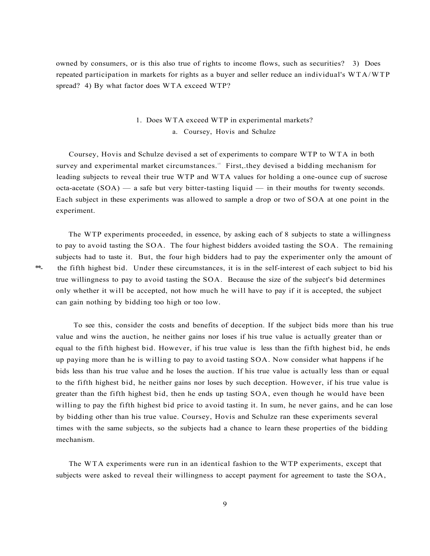owned by consumers, or is this also true of rights to income flows, such as securities? 3) Does repeated participation in markets for rights as a buyer and seller reduce an individual's WTA/WTP spread? 4) By what factor does WTA exceed WTP?

# 1. Does WTA exceed WTP in experimental markets? a. Coursey, Hovis and Schulze

Coursey, Hovis and Schulze devised a set of experiments to compare WTP to WTA in both survey and experimental market circumstances.<sup>15</sup> First, they devised a bidding mechanism for leading subjects to reveal their true WTP and WTA values for holding a one-ounce cup of sucrose octa-acetate  $(SOA)$  — a safe but very bitter-tasting liquid — in their mouths for twenty seconds. Each subject in these experiments was allowed to sample a drop or two of SOA at one point in the experiment.

The WTP experiments proceeded, in essence, by asking each of 8 subjects to state a willingness to pay to avoid tasting the SOA. The four highest bidders avoided tasting the SOA. The remaining subjects had to taste it. But, the four high bidders had to pay the experimenter only the amount of \*\*- the fifth highest bid. Under these circumstances, it is in the self-interest of each subject to bid his true willingness to pay to avoid tasting the SOA. Because the size of the subject's bid determines only whether it will be accepted, not how much he will have to pay if it is accepted, the subject can gain nothing by bidding too high or too low.

To see this, consider the costs and benefits of deception. If the subject bids more than his true value and wins the auction, he neither gains nor loses if his true value is actually greater than or equal to the fifth highest bid. However, if his true value is less than the fifth highest bid, he ends up paying more than he is willing to pay to avoid tasting SOA. Now consider what happens if he bids less than his true value and he loses the auction. If his true value is actually less than or equal to the fifth highest bid, he neither gains nor loses by such deception. However, if his true value is greater than the fifth highest bid, then he ends up tasting SOA, even though he would have been willing to pay the fifth highest bid price to avoid tasting it. In sum, he never gains, and he can lose by bidding other than his true value. Coursey, Hovis and Schulze ran these experiments several times with the same subjects, so the subjects had a chance to learn these properties of the bidding mechanism.

The WTA experiments were run in an identical fashion to the WTP experiments, except that subjects were asked to reveal their willingness to accept payment for agreement to taste the SOA,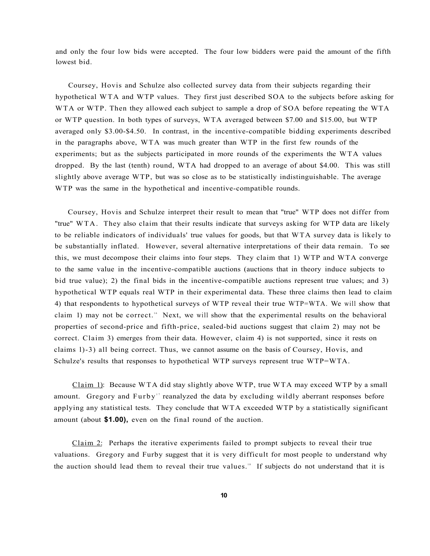and only the four low bids were accepted. The four low bidders were paid the amount of the fifth lowest bid.

Coursey, Hovis and Schulze also collected survey data from their subjects regarding their hypothetical WTA and WTP values. They first just described SOA to the subjects before asking for WTA or WTP. Then they allowed each subject to sample a drop of SOA before repeating the WTA or WTP question. In both types of surveys, WTA averaged between \$7.00 and \$15.00, but WTP averaged only \$3.00-\$4.50. In contrast, in the incentive-compatible bidding experiments described in the paragraphs above, WTA was much greater than WTP in the first few rounds of the experiments; but as the subjects participated in more rounds of the experiments the WTA values dropped. By the last (tenth) round, WTA had dropped to an average of about \$4.00. This was still slightly above average WTP, but was so close as to be statistically indistinguishable. The average WTP was the same in the hypothetical and incentive-compatible rounds.

Coursey, Hovis and Schulze interpret their result to mean that "true" WTP does not differ from "true" WTA. They also claim that their results indicate that surveys asking for WTP data are likely to be reliable indicators of individuals' true values for goods, but that WTA survey data is likely to be substantially inflated. However, several alternative interpretations of their data remain. To see this, we must decompose their claims into four steps. They claim that 1) WTP and WTA converge to the same value in the incentive-compatible auctions (auctions that in theory induce subjects to bid true value); 2) the final bids in the incentive-compatible auctions represent true values; and 3) hypothetical WTP equals real WTP in their experimental data. These three claims then lead to claim 4) that respondents to hypothetical surveys of WTP reveal their true WTP=WTA. We will show that claim 1) may not be correct.<sup>16</sup> Next, we will show that the experimental results on the behavioral properties of second-price and fifth-price, sealed-bid auctions suggest that claim 2) may not be correct. Claim 3) emerges from their data. However, claim 4) is not supported, since it rests on claims l)-3) all being correct. Thus, we cannot assume on the basis of Coursey, Hovis, and Schulze's results that responses to hypothetical WTP surveys represent true WTP=WTA.

Claim 1): Because WTA did stay slightly above WTP, true WTA may exceed WTP by a small amount. Gregory and Furby<sup>17</sup> reanalyzed the data by excluding wildly aberrant responses before applying any statistical tests. They conclude that WTA exceeded WTP by a statistically significant amount (about **\$1.00),** even on the final round of the auction.

Claim 2: Perhaps the iterative experiments failed to prompt subjects to reveal their true valuations. Gregory and Furby suggest that it is very difficult for most people to understand why the auction should lead them to reveal their true values.<sup>18</sup> If subjects do not understand that it is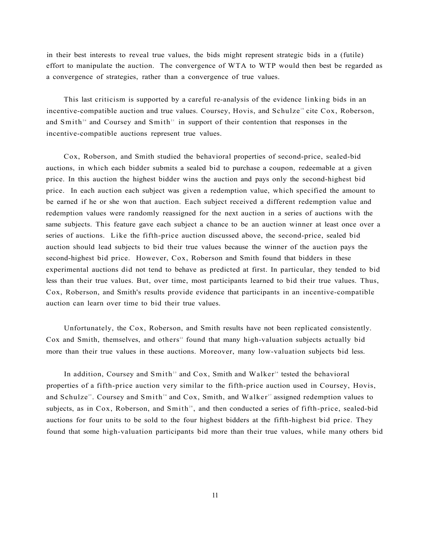in their best interests to reveal true values, the bids might represent strategic bids in a (futile) effort to manipulate the auction. The convergence of WTA to WTP would then best be regarded as a convergence of strategies, rather than a convergence of true values.

This last criticism is supported by a careful re-analysis of the evidence linking bids in an incentive-compatible auction and true values. Coursey, Hovis, and Schulze<sup>19</sup> cite Cox, Roberson, and Smith<sup>20</sup> and Coursey and Smith<sup>21</sup> in support of their contention that responses in the incentive-compatible auctions represent true values.

Cox, Roberson, and Smith studied the behavioral properties of second-price, sealed-bid auctions, in which each bidder submits a sealed bid to purchase a coupon, redeemable at a given price. In this auction the highest bidder wins the auction and pays only the second-highest bid price. In each auction each subject was given a redemption value, which specified the amount to be earned if he or she won that auction. Each subject received a different redemption value and redemption values were randomly reassigned for the next auction in a series of auctions with the same subjects. This feature gave each subject a chance to be an auction winner at least once over a series of auctions. Like the fifth-price auction discussed above, the second-price, sealed bid auction should lead subjects to bid their true values because the winner of the auction pays the second-highest bid price. However, Cox, Roberson and Smith found that bidders in these experimental auctions did not tend to behave as predicted at first. In particular, they tended to bid less than their true values. But, over time, most participants learned to bid their true values. Thus, Cox, Roberson, and Smith's results provide evidence that participants in an incentive-compatible auction can learn over time to bid their true values.

Unfortunately, the Cox, Roberson, and Smith results have not been replicated consistently. Cox and Smith, themselves, and others<sup>22</sup> found that many high-valuation subjects actually bid more than their true values in these auctions. Moreover, many low-valuation subjects bid less.

In addition, Coursey and Smith<sup>23</sup> and Cox, Smith and Walker<sup>24</sup> tested the behavioral properties of a fifth-price auction very similar to the fifth-price auction used in Coursey, Hovis, and Schulze<sup>25</sup>. Coursey and Smith<sup>26</sup> and Cox, Smith, and Walker<sup>27</sup> assigned redemption values to subjects, as in Cox, Roberson, and Smith<sup>28</sup>, and then conducted a series of fifth-price, sealed-bid auctions for four units to be sold to the four highest bidders at the fifth-highest bid price. They found that some high-valuation participants bid more than their true values, while many others bid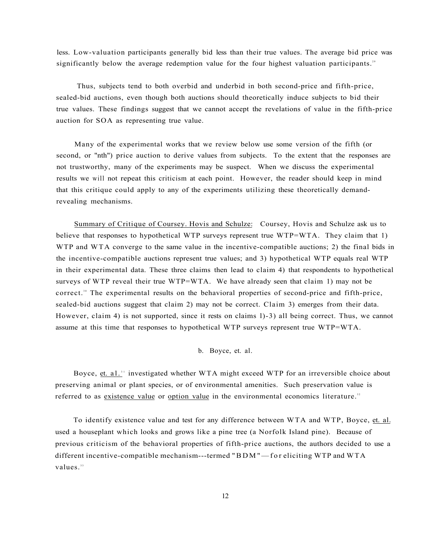less. Low-valuation participants generally bid less than their true values. The average bid price was significantly below the average redemption value for the four highest valuation participants.<sup>29</sup>

Thus, subjects tend to both overbid and underbid in both second-price and fifth-price, sealed-bid auctions, even though both auctions should theoretically induce subjects to bid their true values. These findings suggest that we cannot accept the revelations of value in the fifth-price auction for SOA as representing true value.

Many of the experimental works that we review below use some version of the fifth (or second, or "nth") price auction to derive values from subjects. To the extent that the responses are not trustworthy, many of the experiments may be suspect. When we discuss the experimental results we will not repeat this criticism at each point. However, the reader should keep in mind that this critique could apply to any of the experiments utilizing these theoretically demandrevealing mechanisms.

Summary of Critique of Coursey. Hovis and Schulze: Coursey, Hovis and Schulze ask us to believe that responses to hypothetical WTP surveys represent true WTP=WTA. They claim that 1) WTP and WTA converge to the same value in the incentive-compatible auctions; 2) the final bids in the incentive-compatible auctions represent true values; and 3) hypothetical WTP equals real WTP in their experimental data. These three claims then lead to claim 4) that respondents to hypothetical surveys of WTP reveal their true WTP=WTA. We have already seen that claim 1) may not be correct.<sup>30</sup> The experimental results on the behavioral properties of second-price and fifth-price, sealed-bid auctions suggest that claim 2) may not be correct. Claim 3) emerges from their data. However, claim 4) is not supported, since it rests on claims l)-3) all being correct. Thus, we cannot assume at this time that responses to hypothetical WTP surveys represent true WTP=WTA.

b. Boyce, et. al.

Boyce, et. al.<sup>31</sup> investigated whether WTA might exceed WTP for an irreversible choice about preserving animal or plant species, or of environmental amenities. Such preservation value is referred to as existence value or option value in the environmental economics literature.<sup>32</sup>

To identify existence value and test for any difference between WTA and WTP, Boyce, et. al. used a houseplant which looks and grows like a pine tree (a Norfolk Island pine). Because of previous criticism of the behavioral properties of fifth-price auctions, the authors decided to use a different incentive-compatible mechanism---termed "BDM"—fo r eliciting WTP and WTA values.<sup>33</sup>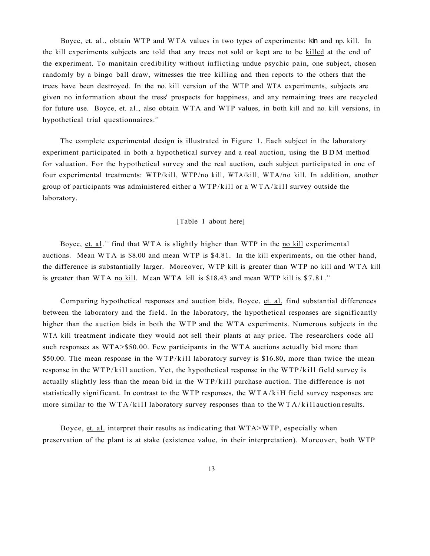Boyce, et. al., obtain WTP and WTA values in two types of experiments: kin and np. kill. In the kill experiments subjects are told that any trees not sold or kept are to be killed at the end of the experiment. To manitain credibility without inflicting undue psychic pain, one subject, chosen randomly by a bingo ball draw, witnesses the tree killing and then reports to the others that the trees have been destroyed. In the no. kill version of the WTP and WTA experiments, subjects are given no information about the tress' prospects for happiness, and any remaining trees are recycled for future use. Boyce, et. al., also obtain WTA and WTP values, in both kill and no. kill versions, in hypothetical trial questionnaires.<sup>34</sup>

The complete experimental design is illustrated in Figure 1. Each subject in the laboratory experiment participated in both a hypothetical survey and a real auction, using the BD M method for valuation. For the hypothetical survey and the real auction, each subject participated in one of four experimental treatments: WTP/kill, WTP/no kill, WTA/kill, WTA/no kill. In addition, another group of participants was administered either a  $WTP/kill$  or a  $WTA/kill$  survey outside the laboratory.

# [Table 1 about here]

Boyce, et. al.<sup>35</sup> find that WTA is slightly higher than WTP in the no kill experimental auctions. Mean WTA is \$8.00 and mean WTP is \$4.81. In the kill experiments, on the other hand, the difference is substantially larger. Moreover, WTP kill is greater than WTP no kill and WTA kill is greater than WTA no kill. Mean WTA kill is \$18.43 and mean WTP kill is  $$7.81$ .<sup>36</sup>

Comparing hypothetical responses and auction bids, Boyce, et. al. find substantial differences between the laboratory and the field. In the laboratory, the hypothetical responses are significantly higher than the auction bids in both the WTP and the WTA experiments. Numerous subjects in the WTA kill treatment indicate they would not sell their plants at any price. The researchers code all such responses as WTA>\$50.00. Few participants in the WTA auctions actually bid more than \$50.00. The mean response in the WTP/kill laboratory survey is \$16.80, more than twice the mean response in the WTP/kill auction. Yet, the hypothetical response in the WTP/kill field survey is actually slightly less than the mean bid in the WTP/kill purchase auction. The difference is not statistically significant. In contrast to the WTP responses, the  $WTA/kiH$  field survey responses are more similar to the WTA/kill laboratory survey responses than to the WTA/kill auction results.

Boyce, et. al. interpret their results as indicating that WTA>WTP, especially when preservation of the plant is at stake (existence value, in their interpretation). Moreover, both WTP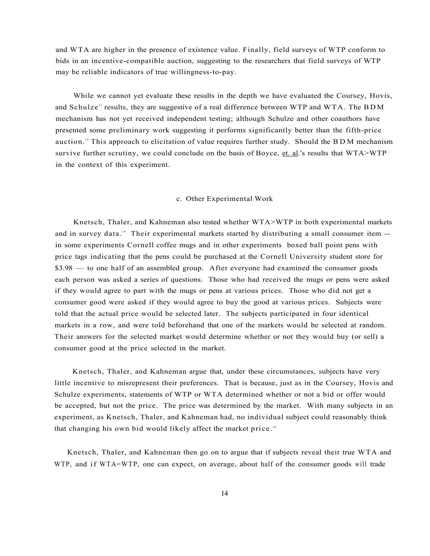and WTA are higher in the presence of existence value. Finally, field surveys of WTP conform to bids in an incentive-compatible auction, suggesting to the researchers that field surveys of WTP may be reliable indicators of true willingness-to-pay.

While we cannot yet evaluate these results in the depth we have evaluated the Coursey, Hovis, and Schulze<sup>37</sup> results, they are suggestive of a real difference between WTP and WTA. The BDM mechanism has not yet received independent testing; although Schulze and other coauthors have presented some preliminary work suggesting it performs significantly better than the fifth-price auction." This approach to elicitation of value requires further study. Should the BDM mechanism survive further scrutiny, we could conclude on the basis of Boyce,  $et.$  al.'s results that  $WTA > WTP$ in the context of this experiment.

#### c. Other Experimental Work

Knetsch, Thaler, and Kahneman also tested whether WTA>WTP in both experimental markets and in survey data." Their experimental markets started by distributing a small consumer item -in some experiments Cornell coffee mugs and in other experiments boxed ball point pens with price tags indicating that the pens could be purchased at the Cornell University student store for \$3.98 — to one half of an assembled group. After everyone had examined the consumer goods each person was asked a series of questions. Those who had received the mugs or pens were asked if they would agree to part with the mugs or pens at various prices. Those who did not get a consumer good were asked if they would agree to buy the good at various prices. Subjects were told that the actual price would be selected later. The subjects participated in four identical markets in a row, and were told beforehand that one of the markets would be selected at random. Their answers for the selected market would determine whether or not they would buy (or sell) a consumer good at the price selected in the market.

Knetsch, Thaler, and Kahneman argue that, under these circumstances, subjects have very little incentive to misrepresent their preferences. That is because, just as in the Coursey, Hovis and Schulze experiments, statements of WTP or WTA determined whether or not a bid or offer would be accepted, but not the price. The price was determined by the market. With many subjects in an experiment, as Knetsch, Thaler, and Kahneman had, no individual subject could reasonably think that changing his own bid would likely affect the market price.<sup>40</sup>

Knetsch, Thaler, and Kahneman then go on to argue that if subjects reveal their true WTA and WTP, and if WTA=WTP, one can expect, on average, about half of the consumer goods will trade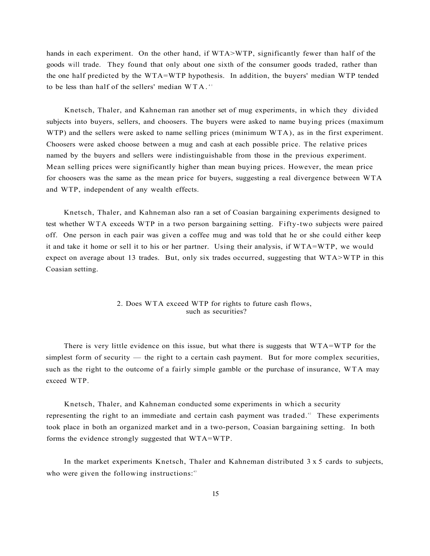hands in each experiment. On the other hand, if WTA>WTP, significantly fewer than half of the goods will trade. They found that only about one sixth of the consumer goods traded, rather than the one half predicted by the WTA=WTP hypothesis. In addition, the buyers' median WTP tended to be less than half of the sellers' median  $WTA$ .<sup>41</sup>

Knetsch, Thaler, and Kahneman ran another set of mug experiments, in which they divided subjects into buyers, sellers, and choosers. The buyers were asked to name buying prices (maximum WTP) and the sellers were asked to name selling prices (minimum WTA), as in the first experiment. Choosers were asked choose between a mug and cash at each possible price. The relative prices named by the buyers and sellers were indistinguishable from those in the previous experiment. Mean selling prices were significantly higher than mean buying prices. However, the mean price for choosers was the same as the mean price for buyers, suggesting a real divergence between WTA and WTP, independent of any wealth effects.

Knetsch, Thaler, and Kahneman also ran a set of Coasian bargaining experiments designed to test whether WTA exceeds WTP in a two person bargaining setting. Fifty-two subjects were paired off. One person in each pair was given a coffee mug and was told that he or she could either keep it and take it home or sell it to his or her partner. Using their analysis, if WTA=WTP, we would expect on average about 13 trades. But, only six trades occurred, suggesting that WTA>WTP in this Coasian setting.

# 2. Does WTA exceed WTP for rights to future cash flows, such as securities?

There is very little evidence on this issue, but what there is suggests that WTA=WTP for the simplest form of security — the right to a certain cash payment. But for more complex securities, such as the right to the outcome of a fairly simple gamble or the purchase of insurance, WTA may exceed WTP.

Knetsch, Thaler, and Kahneman conducted some experiments in which a security representing the right to an immediate and certain cash payment was traded.<sup>42</sup> These experiments took place in both an organized market and in a two-person, Coasian bargaining setting. In both forms the evidence strongly suggested that WTA=WTP.

In the market experiments Knetsch, Thaler and Kahneman distributed 3x 5 cards to subjects, who were given the following instructions: $43$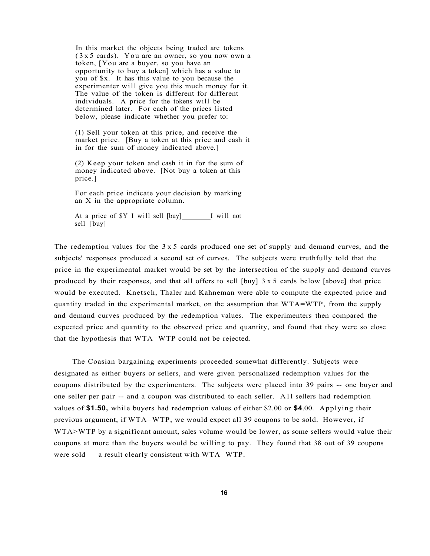In this market the objects being traded are tokens (3x 5 cards). You are an owner, so you now own a token, [You are a buyer, so you have an opportunity to buy a token] which has a value to you of \$x. It has this value to you because the experimenter will give you this much money for it. The value of the token is different for different individuals. A price for the tokens will be determined later. For each of the prices listed below, please indicate whether you prefer to:

(1) Sell your token at this price, and receive the market price. [Buy a token at this price and cash it in for the sum of money indicated above.]

(2) Keep your token and cash it in for the sum of money indicated above. [Not buy a token at this price.]

For each price indicate your decision by marking an X in the appropriate column.

At a price of \$Y I will sell [buy] I will not sell [buy]

The redemption values for the  $3 \times 5$  cards produced one set of supply and demand curves, and the subjects' responses produced a second set of curves. The subjects were truthfully told that the price in the experimental market would be set by the intersection of the supply and demand curves produced by their responses, and that all offers to sell  $[buy]$  3x 5 cards below [above] that price would be executed. Knetsch, Thaler and Kahneman were able to compute the expected price and quantity traded in the experimental market, on the assumption that WTA=WTP, from the supply and demand curves produced by the redemption values. The experimenters then compared the expected price and quantity to the observed price and quantity, and found that they were so close that the hypothesis that WTA=WTP could not be rejected.

The Coasian bargaining experiments proceeded somewhat differently. Subjects were designated as either buyers or sellers, and were given personalized redemption values for the coupons distributed by the experimenters. The subjects were placed into 39 pairs -- one buyer and one seller per pair -- and a coupon was distributed to each seller. Al l sellers had redemption values of **\$1.50,** while buyers had redemption values of either \$2.00 or **\$4**.00. Applying their previous argument, if WTA=WTP, we would expect all 39 coupons to be sold. However, if WTA>WTP by a significant amount, sales volume would be lower, as some sellers would value their coupons at more than the buyers would be willing to pay. They found that 38 out of 39 coupons were sold — a result clearly consistent with WTA=WTP.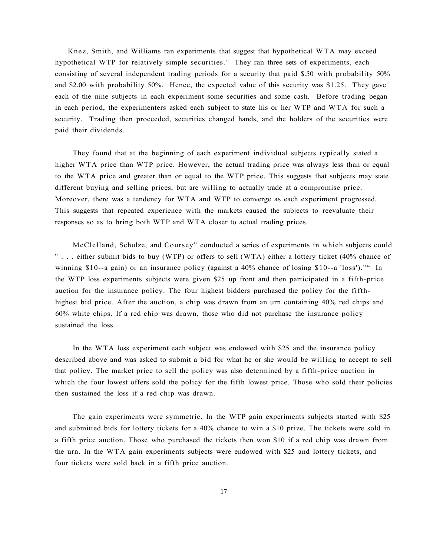Knez, Smith, and Williams ran experiments that suggest that hypothetical WTA may exceed hypothetical WTP for relatively simple securities.<sup>44</sup> They ran three sets of experiments, each consisting of several independent trading periods for a security that paid \$.50 with probability 50% and \$2.00 with probability 50%. Hence, the expected value of this security was \$1.25. They gave each of the nine subjects in each experiment some securities and some cash. Before trading began in each period, the experimenters asked each subject to state his or her WTP and WTA for such a security. Trading then proceeded, securities changed hands, and the holders of the securities were paid their dividends.

They found that at the beginning of each experiment individual subjects typically stated a higher WTA price than WTP price. However, the actual trading price was always less than or equal to the WTA price and greater than or equal to the WTP price. This suggests that subjects may state different buying and selling prices, but are willing to actually trade at a compromise price. Moreover, there was a tendency for WTA and WTP to converge as each experiment progressed. This suggests that repeated experience with the markets caused the subjects to reevaluate their responses so as to bring both WTP and WTA closer to actual trading prices.

McClelland, Schulze, and Coursey<sup>45</sup> conducted a series of experiments in which subjects could " . . . either submit bids to buy (WTP) or offers to sell (WTA) either a lottery ticket (40% chance of winning \$10--a gain) or an insurance policy (against a  $40\%$  chance of losing \$10--a 'loss')."<sup>46</sup> In the WTP loss experiments subjects were given \$25 up front and then participated in a fifth-price auction for the insurance policy. The four highest bidders purchased the policy for the fifthhighest bid price. After the auction, a chip was drawn from an urn containing 40% red chips and 60% white chips. If a red chip was drawn, those who did not purchase the insurance policy sustained the loss.

In the WTA loss experiment each subject was endowed with \$25 and the insurance policy described above and was asked to submit a bid for what he or she would be willing to accept to sell that policy. The market price to sell the policy was also determined by a fifth-price auction in which the four lowest offers sold the policy for the fifth lowest price. Those who sold their policies then sustained the loss if a red chip was drawn.

The gain experiments were symmetric. In the WTP gain experiments subjects started with \$25 and submitted bids for lottery tickets for a 40% chance to win a \$10 prize. The tickets were sold in a fifth price auction. Those who purchased the tickets then won \$10 if a red chip was drawn from the urn. In the WTA gain experiments subjects were endowed with \$25 and lottery tickets, and four tickets were sold back in a fifth price auction.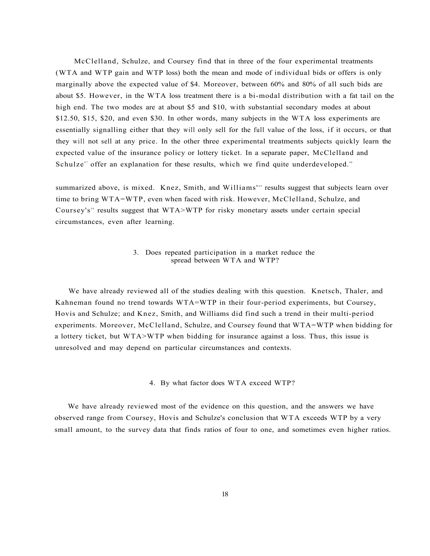McClelland, Schulze, and Coursey find that in three of the four experimental treatments (WTA and WTP gain and WTP loss) both the mean and mode of individual bids or offers is only marginally above the expected value of \$4. Moreover, between 60% and 80% of all such bids are about \$5. However, in the WTA loss treatment there is a bi-modal distribution with a fat tail on the high end. The two modes are at about \$5 and \$10, with substantial secondary modes at about \$12.50, \$15, \$20, and even \$30. In other words, many subjects in the WTA loss experiments are essentially signalling either that they will only sell for the full value of the loss, if it occurs, or that they will not sell at any price. In the other three experimental treatments subjects quickly learn the expected value of the insurance policy or lottery ticket. In a separate paper, McClelland and Schulze<sup>47</sup> offer an explanation for these results, which we find quite underdeveloped.<sup>48</sup>

summarized above, is mixed. Knez, Smith, and Williams<sup>149</sup> results suggest that subjects learn over time to bring WTA=WTP, even when faced with risk. However, McClelland, Schulze, and Coursey's<sup>50</sup> results suggest that WTA>WTP for risky monetary assets under certain special circumstances, even after learning.

# 3. Does repeated participation in a market reduce the spread between WTA and WTP?

We have already reviewed all of the studies dealing with this question. Knetsch, Thaler, and Kahneman found no trend towards WTA=WTP in their four-period experiments, but Coursey, Hovis and Schulze; and Knez, Smith, and Williams did find such a trend in their multi-period experiments. Moreover, McClelland, Schulze, and Coursey found that WTA=WTP when bidding for a lottery ticket, but WTA>WTP when bidding for insurance against a loss. Thus, this issue is unresolved and may depend on particular circumstances and contexts.

#### 4. By what factor does WTA exceed WTP?

We have already reviewed most of the evidence on this question, and the answers we have observed range from Coursey, Hovis and Schulze's conclusion that WTA exceeds WTP by a very small amount, to the survey data that finds ratios of four to one, and sometimes even higher ratios.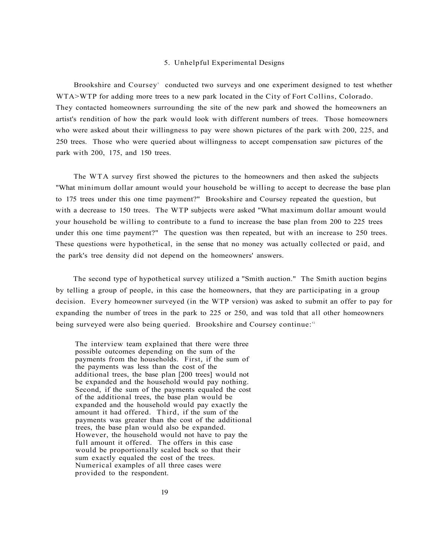#### 5. Unhelpful Experimental Designs

Brookshire and Coursey<sup>5</sup> conducted two surveys and one experiment designed to test whether WTA>WTP for adding more trees to a new park located in the City of Fort Collins, Colorado. They contacted homeowners surrounding the site of the new park and showed the homeowners an artist's rendition of how the park would look with different numbers of trees. Those homeowners who were asked about their willingness to pay were shown pictures of the park with 200, 225, and 250 trees. Those who were queried about willingness to accept compensation saw pictures of the park with 200, 175, and 150 trees.

The WTA survey first showed the pictures to the homeowners and then asked the subjects "What minimum dollar amount would your household be willing to accept to decrease the base plan to 175 trees under this one time payment?" Brookshire and Coursey repeated the question, but with a decrease to 150 trees. The WTP subjects were asked "What maximum dollar amount would your household be willing to contribute to a fund to increase the base plan from 200 to 225 trees under this one time payment?" The question was then repeated, but with an increase to 250 trees. These questions were hypothetical, in the sense that no money was actually collected or paid, and the park's tree density did not depend on the homeowners' answers.

The second type of hypothetical survey utilized a "Smith auction." The Smith auction begins by telling a group of people, in this case the homeowners, that they are participating in a group decision. Every homeowner surveyed (in the WTP version) was asked to submit an offer to pay for expanding the number of trees in the park to 225 or 250, and was told that all other homeowners being surveyed were also being queried. Brookshire and Coursey continue:<sup>52</sup>

The interview team explained that there were three possible outcomes depending on the sum of the payments from the households. First, if the sum of the payments was less than the cost of the additional trees, the base plan [200 trees] would not be expanded and the household would pay nothing. Second, if the sum of the payments equaled the cost of the additional trees, the base plan would be expanded and the household would pay exactly the amount it had offered. Third, if the sum of the payments was greater than the cost of the additional trees, the base plan would also be expanded. However, the household would not have to pay the full amount it offered. The offers in this case would be proportionally scaled back so that their sum exactly equaled the cost of the trees. Numerical examples of all three cases were provided to the respondent.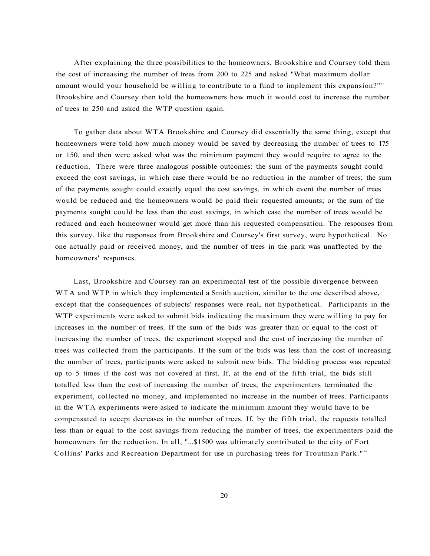After explaining the three possibilities to the homeowners, Brookshire and Coursey told them the cost of increasing the number of trees from 200 to 225 and asked "What maximum dollar amount would your household be willing to contribute to a fund to implement this expansion?"<sup>33</sup> Brookshire and Coursey then told the homeowners how much it would cost to increase the number of trees to 250 and asked the WTP question again.

To gather data about WTA Brookshire and Coursey did essentially the same thing, except that homeowners were told how much money would be saved by decreasing the number of trees to 175 or 150, and then were asked what was the minimum payment they would require to agree to the reduction. There were three analogous possible outcomes: the sum of the payments sought could exceed the cost savings, in which case there would be no reduction in the number of trees; the sum of the payments sought could exactly equal the cost savings, in which event the number of trees would be reduced and the homeowners would be paid their requested amounts; or the sum of the payments sought could be less than the cost savings, in which case the number of trees would be reduced and each homeowner would get more than his requested compensation. The responses from this survey, like the responses from Brookshire and Coursey's first survey, were hypothetical. No one actually paid or received money, and the number of trees in the park was unaffected by the homeowners' responses.

Last, Brookshire and Coursey ran an experimental test of the possible divergence between WTA and WTP in which they implemented a Smith auction, similar to the one described above, except that the consequences of subjects' responses were real, not hypothetical. Participants in the WTP experiments were asked to submit bids indicating the maximum they were willing to pay for increases in the number of trees. If the sum of the bids was greater than or equal to the cost of increasing the number of trees, the experiment stopped and the cost of increasing the number of trees was collected from the participants. If the sum of the bids was less than the cost of increasing the number of trees, participants were asked to submit new bids. The bidding process was repeated up to 5 times if the cost was not covered at first. If, at the end of the fifth trial, the bids still totalled less than the cost of increasing the number of trees, the experimenters terminated the experiment, collected no money, and implemented no increase in the number of trees. Participants in the WTA experiments were asked to indicate the minimum amount they would have to be compensated to accept decreases in the number of trees. If, by the fifth trial, the requests totalled less than or equal to the cost savings from reducing the number of trees, the experimenters paid the homeowners for the reduction. In all, "...\$1500 was ultimately contributed to the city of Fort Collins' Parks and Recreation Department for use in purchasing trees for Troutman Park."<sup>54</sup>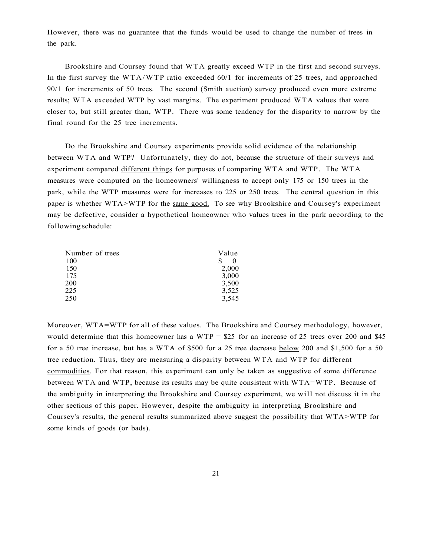However, there was no guarantee that the funds would be used to change the number of trees in the park.

Brookshire and Coursey found that WTA greatly exceed WTP in the first and second surveys. In the first survey the WTA/WTP ratio exceeded  $60/1$  for increments of 25 trees, and approached 90/1 for increments of 50 trees. The second (Smith auction) survey produced even more extreme results; WTA exceeded WTP by vast margins. The experiment produced WTA values that were closer to, but still greater than, WTP. There was some tendency for the disparity to narrow by the final round for the 25 tree increments.

Do the Brookshire and Coursey experiments provide solid evidence of the relationship between WTA and WTP? Unfortunately, they do not, because the structure of their surveys and experiment compared different things for purposes of comparing WTA and WTP. The WTA measures were computed on the homeowners' willingness to accept only 175 or 150 trees in the park, while the WTP measures were for increases to 225 or 250 trees. The central question in this paper is whether WTA>WTP for the same good. To see why Brookshire and Coursey's experiment may be defective, consider a hypothetical homeowner who values trees in the park according to the following schedule:

| Value         |
|---------------|
| S<br>$\theta$ |
| 2,000         |
| 3,000         |
| 3,500         |
| 3,525         |
| 3,545         |
|               |

Moreover, WTA=WTP for all of these values. The Brookshire and Coursey methodology, however, would determine that this homeowner has a WTP =  $$25$  for an increase of 25 trees over 200 and \$45 for a 50 tree increase, but has a WTA of \$500 for a 25 tree decrease **below** 200 and \$1,500 for a 50 tree reduction. Thus, they are measuring a disparity between WTA and WTP for different commodities. For that reason, this experiment can only be taken as suggestive of some difference between WTA and WTP, because its results may be quite consistent with WTA=WTP. Because of the ambiguity in interpreting the Brookshire and Coursey experiment, we will not discuss it in the other sections of this paper. However, despite the ambiguity in interpreting Brookshire and Coursey's results, the general results summarized above suggest the possibility that WTA>WTP for some kinds of goods (or bads).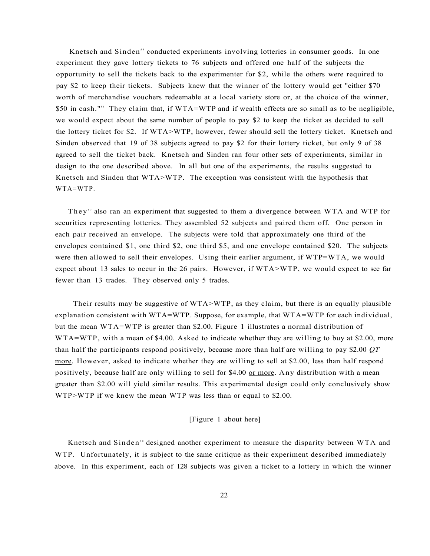Knetsch and Sinden<sup>55</sup> conducted experiments involving lotteries in consumer goods. In one experiment they gave lottery tickets to 76 subjects and offered one half of the subjects the opportunity to sell the tickets back to the experimenter for \$2, while the others were required to pay \$2 to keep their tickets. Subjects knew that the winner of the lottery would get "either \$70 worth of merchandise vouchers redeemable at a local variety store or, at the choice of the winner, \$50 in cash."<sup>56</sup> They claim that, if WTA=WTP and if wealth effects are so small as to be negligible, we would expect about the same number of people to pay \$2 to keep the ticket as decided to sell the lottery ticket for \$2. If WTA>WTP, however, fewer should sell the lottery ticket. Knetsch and Sinden observed that 19 of 38 subjects agreed to pay \$2 for their lottery ticket, but only 9 of 38 agreed to sell the ticket back. Knetsch and Sinden ran four other sets of experiments, similar in design to the one described above. In all but one of the experiments, the results suggested to Knetsch and Sinden that WTA>WTP. The exception was consistent with the hypothesis that WTA=WTP.

They<sup>57</sup> also ran an experiment that suggested to them a divergence between WTA and WTP for securities representing lotteries. They assembled 52 subjects and paired them off. One person in each pair received an envelope. The subjects were told that approximately one third of the envelopes contained \$1, one third \$2, one third \$5, and one envelope contained \$20. The subjects were then allowed to sell their envelopes. Using their earlier argument, if WTP=WTA, we would expect about 13 sales to occur in the 26 pairs. However, if WTA>WTP, we would expect to see far fewer than 13 trades. They observed only 5 trades.

Their results may be suggestive of WTA>WTP, as they claim, but there is an equally plausible explanation consistent with WTA=WTP. Suppose, for example, that WTA=WTP for each individual, but the mean WTA=WTP is greater than \$2.00. Figure 1 illustrates a normal distribution of WTA=WTP, with a mean of \$4.00. Asked to indicate whether they are willing to buy at \$2.00, more than half the participants respond positively, because more than half are willing to pay \$2.00 *QT*  more. However, asked to indicate whether they are willing to sell at \$2.00, less than half respond positively, because half are only willing to sell for \$4.00 or more. Any distribution with a mean greater than \$2.00 will yield similar results. This experimental design could only conclusively show WTP>WTP if we knew the mean WTP was less than or equal to \$2.00.

# [Figure 1 about here]

Knetsch and Sinden<sup>58</sup> designed another experiment to measure the disparity between WTA and WTP. Unfortunately, it is subject to the same critique as their experiment described immediately above. In this experiment, each of 128 subjects was given a ticket to a lottery in which the winner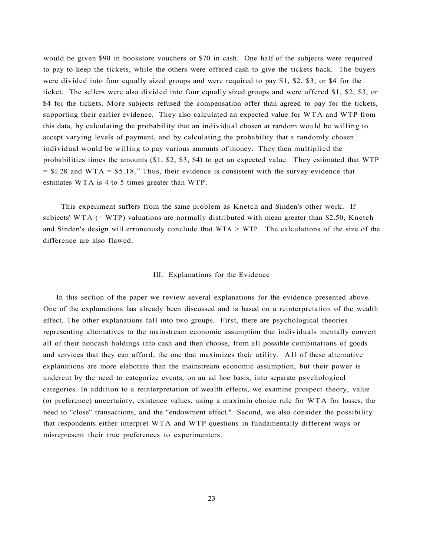would be given \$90 in bookstore vouchers or \$70 in cash. One half of the subjects were required to pay to keep the tickets, while the others were offered cash to give the tickets back. The buyers were divided into four equally sized groups and were required to pay \$1, \$2, \$3, or \$4 for the ticket. The sellers were also divided into four equally sized groups and were offered \$1, \$2, \$3, or \$4 for the tickets. More subjects refused the compensation offer than agreed to pay for the tickets, supporting their earlier evidence. They also calculated an expected value for WTA and WTP from this data, by calculating the probability that an individual chosen at random would be willing to accept varying levels of payment, and by calculating the probability that a randomly chosen individual would be willing to pay various amounts of money. They then multiplied the probabilities times the amounts (\$1, \$2, \$3, \$4) to get an expected value. They estimated that WTP  $= $1.28$  and WTA = \$5.18.<sup>59</sup> Thus, their evidence is consistent with the survey evidence that estimates WTA is 4 to 5 times greater than WTP.

This experiment suffers from the same problem as Knetch and Sinden's other work. If subjects' WTA (= WTP) valuations are normally distributed with mean greater than \$2.50, Knetch and Sinden's design will erroneously conclude that  $WTA > WTP$ . The calculations of the size of the difference are also flawed.

#### III. Explanations for the Evidence

In this section of the paper we review several explanations for the evidence presented above. One of the explanations has already been discussed and is based on a reinterpretation of the wealth effect. The other explanations fall into two groups. First, there are psychological theories representing alternatives to the mainstream economic assumption that individuals mentally convert all of their noncash holdings into cash and then choose, from all possible combinations of goods and services that they can afford, the one that maximizes their utility. All of these alternative explanations are more elaborate than the mainstream economic assumption, but their power is undercut by the need to categorize events, on an ad hoc basis, into separate psychological categories. In addition to a reinterpretation of wealth effects, we examine prospect theory, value (or preference) uncertainty, existence values, using a maximin choice rule for WTA for losses, the need to "close" transactions, and the "endowment effect." Second, we also consider the possibility that respondents either interpret WTA and WTP questions in fundamentally different ways or misrepresent their true preferences to experimenters.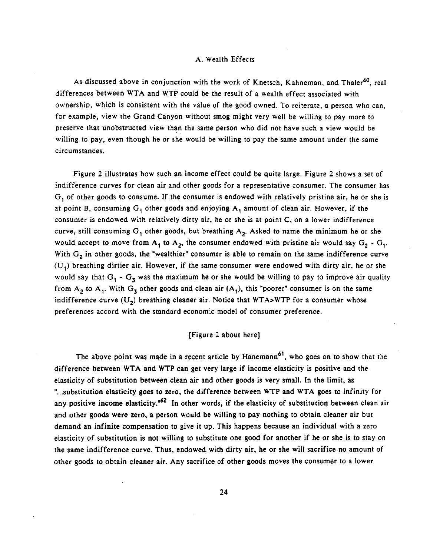### A. Wealth Effects

As discussed above in conjunction with the work of Knetsch, Kahneman, and Thaler<sup>60</sup>, real differences between WTA and WTP could be the result of a wealth effect associated with ownership, which is consistent with the value of the good owned. To reiterate, a person who can, for example, view the Grand Canyon without smog might very well be willing to pay more to preserve that unobstructed view than the same person who did not have such a view would be willing to pay, even though he or she would be willing to pay the same amount under the same circumstances.

Figure 2 illustrates how such an income effect could be quite large. Figure 2 shows a set of indifference curves for clean air and other goods for a representative consumer. The consumer has  $G<sub>1</sub>$  of other goods to consume. If the consumer is endowed with relatively pristine air, he or she is at point B, consuming  $G_1$  other goods and enjoying  $A_1$  amount of clean air. However, if the consumer is endowed with relatively dirty air, he or she is at point C, on a lower indifference curve, still consuming  $G_1$  other goods, but breathing  $A_2$ . Asked to name the minimum he or she would accept to move from  $A_1$  to  $A_2$ , the consumer endowed with pristine air would say  $G_2 - G_1$ . With  $G_2$  in other goods, the "wealthier" consumer is able to remain on the same indifference curve  $(U_1)$  breathing dirtier air. However, if the same consumer were endowed with dirty air, he or she would say that  $G_1 - G_3$  was the maximum he or she would be willing to pay to improve air quality from  $A_2$  to  $A_1$ . With  $G_3$  other goods and clean air  $(A_1)$ , this "poorer" consumer is on the same indifference curve  $(U_2)$  breathing cleaner air. Notice that WTA>WTP for a consumer whose preferences accord with the standard economic model of consumer preference.

# [Figure 2 about here]

The above point was made in a recent article by Hanemann<sup>61</sup>, who goes on to show that the difference between WTA and WTP can get very large if income elasticity is positive and the elasticity of substitution between clean air and other goods is very small. In the limit, as "...substitution elasticity goes to zero, the difference between WTP and WTA goes to infinity for any positive income elasticity.<sup>62</sup> In other words, if the elasticity of substitution between clean air and other goods were zero, a person would be willing to pay nothing to obtain cleaner air but demand an infinite compensation to give it up. This happens because an individual with a zero elasticity of substitution is not willing to substitute one good for another if he or she is to stay on the same indifference curve. Thus, endowed with dirty air, he or she will sacrifice no amount of other goods to obtain cleaner air. Any sacrifice of other goods moves the consumer to a lower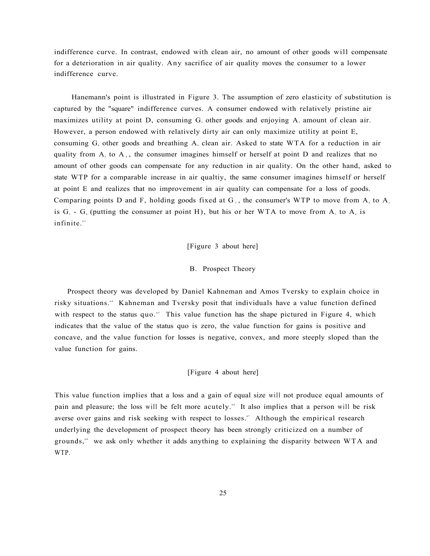indifference curve. In contrast, endowed with clean air, no amount of other goods will compensate for a deterioration in air quality. Any sacrifice of air quality moves the consumer to a lower indifference curve.

Hanemann's point is illustrated in Figure 3. The assumption of zero elasticity of substitution is captured by the "square" indifference curves. A consumer endowed with relatively pristine air maximizes utility at point D, consuming  $G<sub>3</sub>$  other goods and enjoying A<sub>3</sub> amount of clean air. However, a person endowed with relatively dirty air can only maximize utility at point E, consuming  $G_4$  other goods and breathing  $A_4$  clean air. Asked to state WTA for a reduction in air quality from  $A_3$ , to  $A_4$ , the consumer imagines himself or herself at point D and realizes that no amount of other goods can compensate for any reduction in air quality. On the other hand, asked to state WTP for a comparable increase in air qualtiy, the same consumer imagines himself or herself at point E and realizes that no improvement in air quality can compensate for a loss of goods. Comparing points D and F, holding goods fixed at  $G_3$ , the consumer's WTP to move from  $A_4$  to  $A_3$ is  $G_3$  -  $G_4$  (putting the consumer at point H), but his or her WTA to move from A<sub>3</sub> to A<sub>4</sub> is infinite.<sup>63</sup>

#### [Figure 3 about here]

#### B. Prospect Theory

Prospect theory was developed by Daniel Kahneman and Amos Tversky to explain choice in risky situations." Kahneman and Tversky posit that individuals have a value function defined with respect to the status quo.<sup>55</sup> This value function has the shape pictured in Figure 4, which indicates that the value of the status quo is zero, the value function for gains is positive and concave, and the value function for losses is negative, convex, and more steeply sloped than the value function for gains.

#### [Figure 4 about here]

This value function implies that a loss and a gain of equal size will not produce equal amounts of pain and pleasure; the loss will be felt more acutely." It also implies that a person will be risk averse over gains and risk seeking with respect to losses.<sup>57</sup> Although the empirical research underlying the development of prospect theory has been strongly criticized on a number of grounds,<sup>\*</sup> we ask only whether it adds anything to explaining the disparity between WTA and WTP.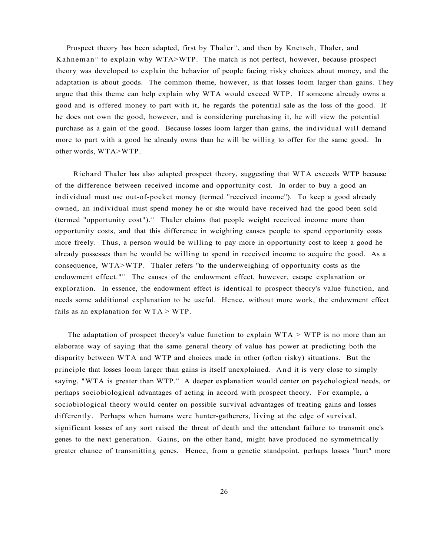Prospect theory has been adapted, first by Thaler<sup>®</sup>, and then by Knetsch, Thaler, and Kahneman<sup>70</sup> to explain why WTA>WTP. The match is not perfect, however, because prospect theory was developed to explain the behavior of people facing risky choices about money, and the adaptation is about goods. The common theme, however, is that losses loom larger than gains. They argue that this theme can help explain why WTA would exceed WTP. If someone already owns a good and is offered money to part with it, he regards the potential sale as the loss of the good. If he does not own the good, however, and is considering purchasing it, he will view the potential purchase as a gain of the good. Because losses loom larger than gains, the individual will demand more to part with a good he already owns than he will be willing to offer for the same good. In other words, WTA>WTP.

Richard Thaler has also adapted prospect theory, suggesting that WTA exceeds WTP because of the difference between received income and opportunity cost. In order to buy a good an individual must use out-of-pocket money (termed "received income"). To keep a good already owned, an individual must spend money he or she would have received had the good been sold (termed "opportunity cost").<sup>71</sup> Thaler claims that people weight received income more than opportunity costs, and that this difference in weighting causes people to spend opportunity costs more freely. Thus, a person would be willing to pay more in opportunity cost to keep a good he already possesses than he would be willing to spend in received income to acquire the good. As a consequence, WTA>WTP. Thaler refers "to the underweighing of opportunity costs as the endowment effect."<sup>2</sup> The causes of the endowment effect, however, escape explanation or exploration. In essence, the endowment effect is identical to prospect theory's value function, and needs some additional explanation to be useful. Hence, without more work, the endowment effect fails as an explanation for  $WTA > WTP$ .

The adaptation of prospect theory's value function to explain  $WTA > WTP$  is no more than an elaborate way of saying that the same general theory of value has power at predicting both the disparity between WTA and WTP and choices made in other (often risky) situations. But the principle that losses loom larger than gains is itself unexplained. And it is very close to simply saying, "WTA is greater than WTP." A deeper explanation would center on psychological needs, or perhaps sociobiological advantages of acting in accord with prospect theory. For example, a sociobiological theory would center on possible survival advantages of treating gains and losses differently. Perhaps when humans were hunter-gatherers, living at the edge of survival, significant losses of any sort raised the threat of death and the attendant failure to transmit one's genes to the next generation. Gains, on the other hand, might have produced no symmetrically greater chance of transmitting genes. Hence, from a genetic standpoint, perhaps losses "hurt" more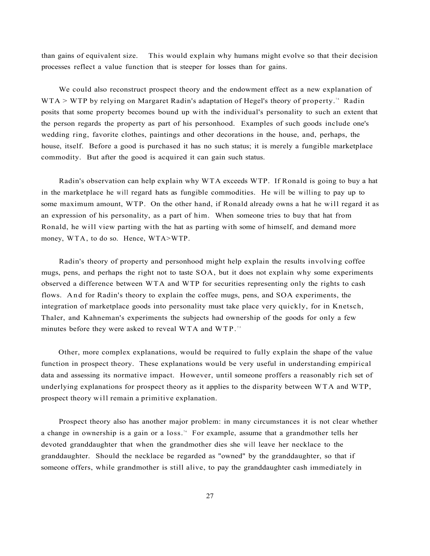than gains of equivalent size. This would explain why humans might evolve so that their decision processes reflect a value function that is steeper for losses than for gains.

We could also reconstruct prospect theory and the endowment effect as a new explanation of  $WTA > WTP$  by relying on Margaret Radin's adaptation of Hegel's theory of property.<sup>74</sup> Radin posits that some property becomes bound up with the individual's personality to such an extent that the person regards the property as part of his personhood. Examples of such goods include one's wedding ring, favorite clothes, paintings and other decorations in the house, and, perhaps, the house, itself. Before a good is purchased it has no such status; it is merely a fungible marketplace commodity. But after the good is acquired it can gain such status.

Radin's observation can help explain why WTA exceeds WTP. If Ronald is going to buy a hat in the marketplace he will regard hats as fungible commodities. He will be willing to pay up to some maximum amount, WTP. On the other hand, if Ronald already owns a hat he will regard it as an expression of his personality, as a part of him. When someone tries to buy that hat from Ronald, he will view parting with the hat as parting with some of himself, and demand more money, WTA, to do so. Hence, WTA>WTP.

Radin's theory of property and personhood might help explain the results involving coffee mugs, pens, and perhaps the right not to taste SOA, but it does not explain why some experiments observed a difference between WTA and WTP for securities representing only the rights to cash flows. An d for Radin's theory to explain the coffee mugs, pens, and SOA experiments, the integration of marketplace goods into personality must take place very quickly, for in Knetsch, Thaler, and Kahneman's experiments the subjects had ownership of the goods for only a few minutes before they were asked to reveal WTA and WTP.<sup>75</sup>

Other, more complex explanations, would be required to fully explain the shape of the value function in prospect theory. These explanations would be very useful in understanding empirical data and assessing its normative impact. However, until someone proffers a reasonably rich set of underlying explanations for prospect theory as it applies to the disparity between WTA and WTP, prospect theory will remain a primitive explanation.

Prospect theory also has another major problem: in many circumstances it is not clear whether a change in ownership is a gain or a loss.<sup>76</sup> For example, assume that a grandmother tells her devoted granddaughter that when the grandmother dies she will leave her necklace to the granddaughter. Should the necklace be regarded as "owned" by the granddaughter, so that if someone offers, while grandmother is still alive, to pay the granddaughter cash immediately in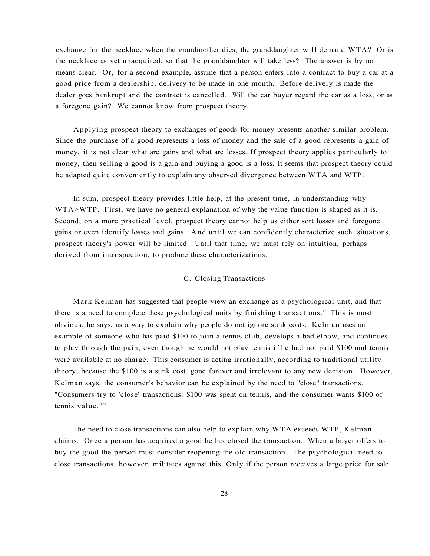exchange for the necklace when the grandmother dies, the granddaughter will demand WTA? Or is the necklace as yet unacquired, so that the granddaughter will take less? The answer is by no means clear. Or, for a second example, assume that a person enters into a contract to buy a car at a good price from a dealership, delivery to be made in one month. Before delivery is made the dealer goes bankrupt and the contract is cancelled. Will the car buyer regard the car as a loss, or as a foregone gain? We cannot know from prospect theory.

Applying prospect theory to exchanges of goods for money presents another similar problem. Since the purchase of a good represents a loss of money and the sale of a good represents a gain of money, it is not clear what are gains and what are losses. If prospect theory applies particularly to money, then selling a good is a gain and buying a good is a loss. It seems that prospect theory could be adapted quite conveniently to explain any observed divergence between WTA and WTP.

In sum, prospect theory provides little help, at the present time, in understanding why WTA>WTP. First, we have no general explanation of why the value function is shaped as it is. Second, on a more practical level, prospect theory cannot help us either sort losses and foregone gains or even identify losses and gains. And until we can confidently characterize such situations, prospect theory's power will be limited. Until that time, we must rely on intuition, perhaps derived from introspection, to produce these characterizations.

# C. Closing Transactions

Mark Kelman has suggested that people view an exchange as a psychological unit, and that there is a need to complete these psychological units by finishing transactions." This is most obvious, he says, as a way to explain why people do not ignore sunk costs. Kelman uses an example of someone who has paid \$100 to join a tennis club, develops a bad elbow, and continues to play through the pain, even though he would not play tennis if he had not paid \$100 and tennis were available at no charge. This consumer is acting irrationally, according to traditional utility theory, because the \$100 is a sunk cost, gone forever and irrelevant to any new decision. However, Kelman says, the consumer's behavior can be explained by the need to "close" transactions. "Consumers try to 'close' transactions: \$100 was spent on tennis, and the consumer wants \$100 of tennis value."<sup>78</sup>

The need to close transactions can also help to explain why WTA exceeds WTP, Kelman claims. Once a person has acquired a good he has closed the transaction. When a buyer offers to buy the good the person must consider reopening the old transaction. The psychological need to close transactions, however, militates against this. Only if the person receives a large price for sale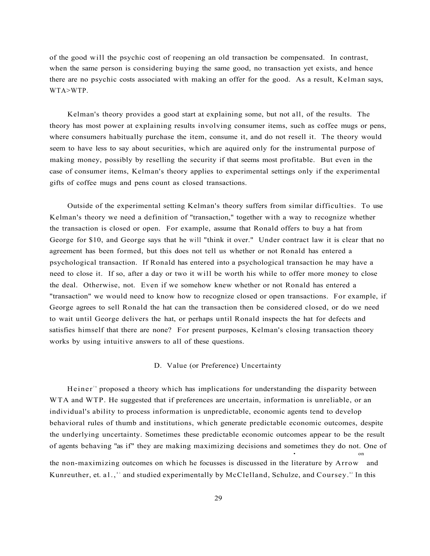of the good will the psychic cost of reopening an old transaction be compensated. In contrast, when the same person is considering buying the same good, no transaction yet exists, and hence there are no psychic costs associated with making an offer for the good. As a result, Kelman says, WTA>WTP.

Kelman's theory provides a good start at explaining some, but not all, of the results. The theory has most power at explaining results involving consumer items, such as coffee mugs or pens, where consumers habitually purchase the item, consume it, and do not resell it. The theory would seem to have less to say about securities, which are aquired only for the instrumental purpose of making money, possibly by reselling the security if that seems most profitable. But even in the case of consumer items, Kelman's theory applies to experimental settings only if the experimental gifts of coffee mugs and pens count as closed transactions.

Outside of the experimental setting Kelman's theory suffers from similar difficulties. To use Kelman's theory we need a definition of "transaction," together with a way to recognize whether the transaction is closed or open. For example, assume that Ronald offers to buy a hat from George for \$10, and George says that he will "think it over." Under contract law it is clear that no agreement has been formed, but this does not tell us whether or not Ronald has entered a psychological transaction. If Ronald has entered into a psychological transaction he may have a need to close it. If so, after a day or two it will be worth his while to offer more money to close the deal. Otherwise, not. Even if we somehow knew whether or not Ronald has entered a "transaction" we would need to know how to recognize closed or open transactions. For example, if George agrees to sell Ronald the hat can the transaction then be considered closed, or do we need to wait until George delivers the hat, or perhaps until Ronald inspects the hat for defects and satisfies himself that there are none? For present purposes, Kelman's closing transaction theory works by using intuitive answers to all of these questions.

#### D. Value (or Preference) Uncertainty

Heiner<sup>"</sup> proposed a theory which has implications for understanding the disparity between WTA and WTP. He suggested that if preferences are uncertain, information is unreliable, or an individual's ability to process information is unpredictable, economic agents tend to develop behavioral rules of thumb and institutions, which generate predictable economic outcomes, despite the underlying uncertainty. Sometimes these predictable economic outcomes appear to be the result of agents behaving "as if" they are making maximizing decisions and sometimes they do not. One of • on the non-maximizing outcomes on which he focusses is discussed in the literature by Arrow and Kunreuther, et. al., \* and studied experimentally by McClelland, Schulze, and Coursey. \* In this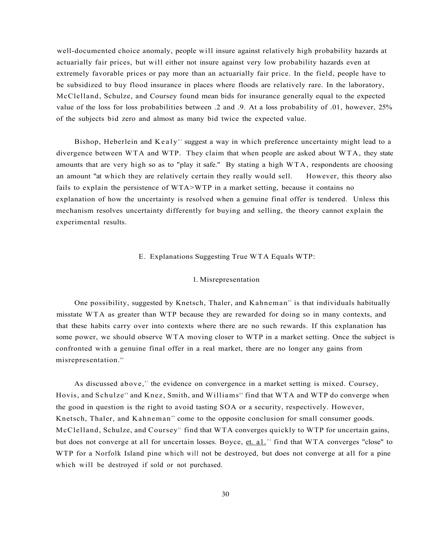well-documented choice anomaly, people will insure against relatively high probability hazards at actuarially fair prices, but will either not insure against very low probability hazards even at extremely favorable prices or pay more than an actuarially fair price. In the field, people have to be subsidized to buy flood insurance in places where floods are relatively rare. In the laboratory, McClelland, Schulze, and Coursey found mean bids for insurance generally equal to the expected value of the loss for loss probabilities between .2 and .9. At a loss probability of .01, however, 25% of the subjects bid zero and almost as many bid twice the expected value.

Bishop, Heberlein and Kealy<sup>33</sup> suggest a way in which preference uncertainty might lead to a divergence between WTA and WTP. They claim that when people are asked about WTA, they state amounts that are very high so as to "play it safe." By stating a high WTA, respondents are choosing an amount "at which they are relatively certain they really would sell. However, this theory also fails to explain the persistence of WTA>WTP in a market setting, because it contains no explanation of how the uncertainty is resolved when a genuine final offer is tendered. Unless this mechanism resolves uncertainty differently for buying and selling, the theory cannot explain the experimental results.

# E. Explanations Suggesting True WTA Equals WTP:

#### 1. Misrepresentation

One possibility, suggested by Knetsch, Thaler, and Kahneman<sup>85</sup> is that individuals habitually misstate WTA as greater than WTP because they are rewarded for doing so in many contexts, and that these habits carry over into contexts where there are no such rewards. If this explanation has some power, we should observe WTA moving closer to WTP in a market setting. Once the subject is confronted with a genuine final offer in a real market, there are no longer any gains from misrepresentation.<sup>86</sup>

As discussed above," the evidence on convergence in a market setting is mixed. Coursey, Hovis, and Schulze<sup>38</sup> and Knez, Smith, and Williams<sup>39</sup> find that WTA and WTP do converge when the good in question is the right to avoid tasting SOA or a security, respectively. However, Knetsch, Thaler, and Kahneman<sup>90</sup> come to the opposite conclusion for small consumer goods. McClelland, Schulze, and Coursey<sup>91</sup> find that WTA converges quickly to WTP for uncertain gains, but does not converge at all for uncertain losses. Boyce, et. al.<sup>32</sup> find that WTA converges "close" to WTP for a Norfolk Island pine which will not be destroyed, but does not converge at all for a pine which will be destroyed if sold or not purchased.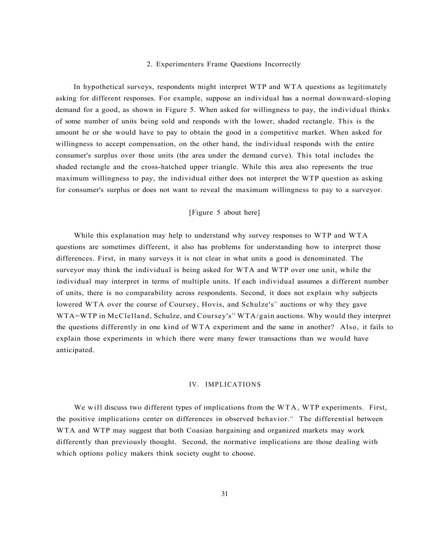#### 2. Experimenters Frame Questions Incorrectly

In hypothetical surveys, respondents might interpret WTP and WTA questions as legitimately asking for different responses. For example, suppose an individual has a normal downward-sloping demand for a good, as shown in Figure 5. When asked for willingness to pay, the individual thinks of some number of units being sold and responds with the lower, shaded rectangle. This is the amount he or she would have to pay to obtain the good in a competitive market. When asked for willingness to accept compensation, on the other hand, the individual responds with the entire consumer's surplus over those units (the area under the demand curve). This total includes the shaded rectangle and the cross-hatched upper triangle. While this area also represents the true maximum willingness to pay, the individual either does not interpret the WTP question as asking for consumer's surplus or does not want to reveal the maximum willingness to pay to a surveyor.

# [Figure 5 about here]

While this explanation may help to understand why survey responses to WTP and WTA questions are sometimes different, it also has problems for understanding how to interpret those differences. First, in many surveys it is not clear in what units a good is denominated. The surveyor may think the individual is being asked for WTA and WTP over one unit, while the individual may interpret in terms of multiple units. If each individual assumes a different number of units, there is no comparability across respondents. Second, it does not explain why subjects lowered WTA over the course of Coursey, Hovis, and Schulze's<sup>33</sup> auctions or why they gave WTA=WTP in McClelland, Schulze, and Coursey's<sup>34</sup> WTA/gain auctions. Why would they interpret the questions differently in one kind of WTA experiment and the same in another? Also, it fails to explain those experiments in which there were many fewer transactions than we would have anticipated.

#### IV. IMPLICATIONS

We will discuss two different types of implications from the WTA, WTP experiments. First, the positive implications center on differences in observed behavior." The differential between WTA and WTP may suggest that both Coasian bargaining and organized markets may work differently than previously thought. Second, the normative implications are those dealing with which options policy makers think society ought to choose.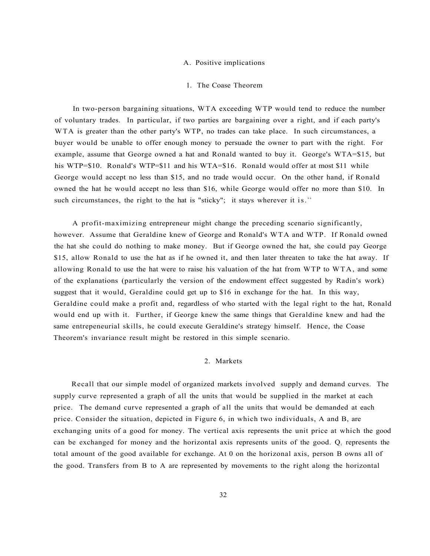#### A. Positive implications

# 1. The Coase Theorem

In two-person bargaining situations, WTA exceeding WTP would tend to reduce the number of voluntary trades. In particular, if two parties are bargaining over a right, and if each party's WTA is greater than the other party's WTP, no trades can take place. In such circumstances, a buyer would be unable to offer enough money to persuade the owner to part with the right. For example, assume that George owned a hat and Ronald wanted to buy it. George's WTA=\$15, but his WTP=\$10. Ronald's WTP=\$11 and his WTA=\$16. Ronald would offer at most \$11 while George would accept no less than \$15, and no trade would occur. On the other hand, if Ronald owned the hat he would accept no less than \$16, while George would offer no more than \$10. In such circumstances, the right to the hat is "sticky"; it stays wherever it is."

A profit-maximizing entrepreneur might change the preceding scenario significantly, however. Assume that Geraldine knew of George and Ronald's WTA and WTP. If Ronald owned the hat she could do nothing to make money. But if George owned the hat, she could pay George \$15, allow Ronald to use the hat as if he owned it, and then later threaten to take the hat away. If allowing Ronald to use the hat were to raise his valuation of the hat from WTP to WTA, and some of the explanations (particularly the version of the endowment effect suggested by Radin's work) suggest that it would, Geraldine could get up to \$16 in exchange for the hat. In this way, Geraldine could make a profit and, regardless of who started with the legal right to the hat, Ronald would end up with it. Further, if George knew the same things that Geraldine knew and had the same entrepeneurial skills, he could execute Geraldine's strategy himself. Hence, the Coase Theorem's invariance result might be restored in this simple scenario.

# 2. Markets

Recall that our simple model of organized markets involved supply and demand curves. The supply curve represented a graph of all the units that would be supplied in the market at each price. The demand curve represented a graph of all the units that would be demanded at each price. Consider the situation, depicted in Figure 6, in which two individuals, A and B, are exchanging units of a good for money. The vertical axis represents the unit price at which the good can be exchanged for money and the horizontal axis represents units of the good.  $Q<sub>r</sub>$  represents the total amount of the good available for exchange. At 0 on the horizonal axis, person B owns all of the good. Transfers from B to A are represented by movements to the right along the horizontal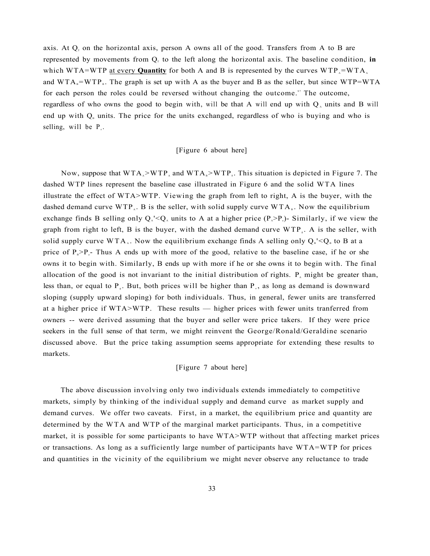axis. At  $Q<sub>r</sub>$  on the horizontal axis, person A owns all of the good. Transfers from A to B are represented by movements from  $Q<sub>r</sub>$  to the left along the horizontal axis. The baseline condition, in which WTA=WTP at every **Quantity** for both A and B is represented by the curves  $WTP = WTA$ . and  $WTA<sub>B</sub> = WTP<sub>B</sub>$ . The graph is set up with A as the buyer and B as the seller, but since  $WTP=WTA$ for each person the roles could be reversed without changing the outcome." The outcome, regardless of who owns the good to begin with, will be that A will end up with  $Q_A$  units and B will end up with  $Q_a$  units. The price for the units exchanged, regardless of who is buying and who is selling, will be  $P_{e}$ .

# [Figure 6 about here]

Now, suppose that  $WTA_A > WTP_A$  and  $WTA_B > WTP_B$ . This situation is depicted in Figure 7. The dashed WTP lines represent the baseline case illustrated in Figure 6 and the solid WTA lines illustrate the effect of WTA>WTP. Viewing the graph from left to right, A is the buyer, with the dashed demand curve  $WTP_A$ . B is the seller, with solid supply curve  $WTA_B$ . Now the equilibrium exchange finds B selling only  $Q_{\lambda}$ '< $Q_{\lambda}$  units to A at a higher price  $(P_{\lambda} > P_{\lambda})$ - Similarly, if we view the graph from right to left, B is the buyer, with the dashed demand curve  $WTP_{g}$ . A is the seller, with solid supply curve  $WTA_{\lambda}$ . Now the equilibrium exchange finds A selling only  $Q_{\mu}$ '< $Q_{\mu}$  to B at a price of  $P_e > P_e$ . Thus A ends up with more of the good, relative to the baseline case, if he or she owns it to begin with. Similarly, B ends up with more if he or she owns it to begin with. The final allocation of the good is not invariant to the initial distribution of rights.  $P_{\text{A}}$  might be greater than, less than, or equal to  $P_{s}$ . But, both prices will be higher than  $P_{s}$ , as long as demand is downward sloping (supply upward sloping) for both individuals. Thus, in general, fewer units are transferred at a higher price if WTA>WTP. These results — higher prices with fewer units tranferred from owners -- were derived assuming that the buyer and seller were price takers. If they were price seekers in the full sense of that term, we might reinvent the George/Ronald/Geraldine scenario discussed above. But the price taking assumption seems appropriate for extending these results to markets.

# [Figure 7 about here]

The above discussion involving only two individuals extends immediately to competitive markets, simply by thinking of the individual supply and demand curve as market supply and demand curves. We offer two caveats. First, in a market, the equilibrium price and quantity are determined by the WTA and WTP of the marginal market participants. Thus, in a competitive market, it is possible for some participants to have WTA>WTP without that affecting market prices or transactions. As long as a sufficiently large number of participants have WTA=WTP for prices and quantities in the vicinity of the equilibrium we might never observe any reluctance to trade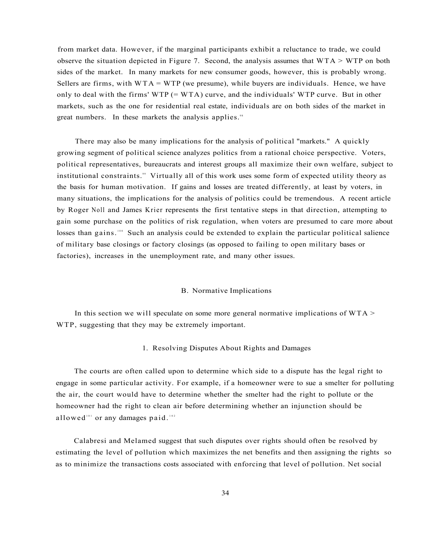from market data. However, if the marginal participants exhibit a reluctance to trade, we could observe the situation depicted in Figure 7. Second, the analysis assumes that  $WTA > WTP$  on both sides of the market. In many markets for new consumer goods, however, this is probably wrong. Sellers are firms, with  $WTA = WTP$  (we presume), while buyers are individuals. Hence, we have only to deal with the firms'  $WTP (= WTA)$  curve, and the individuals'  $WTP$  curve. But in other markets, such as the one for residential real estate, individuals are on both sides of the market in great numbers. In these markets the analysis applies.<sup>38</sup>

There may also be many implications for the analysis of political "markets." A quickly growing segment of political science analyzes politics from a rational choice perspective. Voters, political representatives, bureaucrats and interest groups all maximize their own welfare, subject to institutional constraints." Virtually all of this work uses some form of expected utility theory as the basis for human motivation. If gains and losses are treated differently, at least by voters, in many situations, the implications for the analysis of politics could be tremendous. A recent article by Roger Noll and James Krier represents the first tentative steps in that direction, attempting to gain some purchase on the politics of risk regulation, when voters are presumed to care more about losses than gains.<sup>100</sup> Such an analysis could be extended to explain the particular political salience of military base closings or factory closings (as opposed to failing to open military bases or factories), increases in the unemployment rate, and many other issues.

#### B. Normative Implications

In this section we will speculate on some more general normative implications of  $WTA$ WTP, suggesting that they may be extremely important.

#### 1. Resolving Disputes About Rights and Damages

The courts are often called upon to determine which side to a dispute has the legal right to engage in some particular activity. For example, if a homeowner were to sue a smelter for polluting the air, the court would have to determine whether the smelter had the right to pollute or the homeowner had the right to clean air before determining whether an injunction should be allowed<sup>101</sup> or any damages paid.<sup>102</sup>

Calabresi and Melamed suggest that such disputes over rights should often be resolved by estimating the level of pollution which maximizes the net benefits and then assigning the rights so as to minimize the transactions costs associated with enforcing that level of pollution. Net social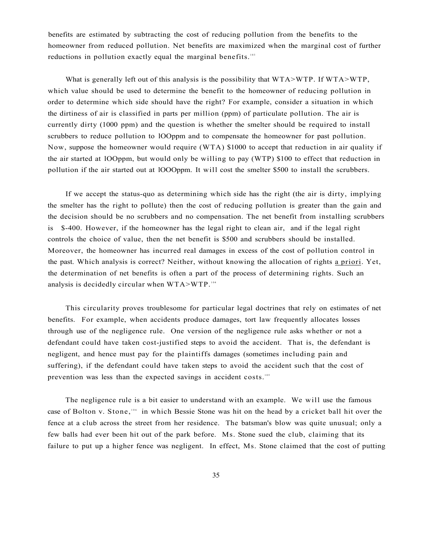benefits are estimated by subtracting the cost of reducing pollution from the benefits to the homeowner from reduced pollution. Net benefits are maximized when the marginal cost of further reductions in pollution exactly equal the marginal benefits.<sup>103</sup>

What is generally left out of this analysis is the possibility that WTA>WTP. If WTA>WTP, which value should be used to determine the benefit to the homeowner of reducing pollution in order to determine which side should have the right? For example, consider a situation in which the dirtiness of air is classified in parts per million (ppm) of particulate pollution. The air is currently dirty (1000 ppm) and the question is whether the smelter should be required to install scrubbers to reduce pollution to lOOppm and to compensate the homeowner for past pollution. Now, suppose the homeowner would require (WTA) \$1000 to accept that reduction in air quality if the air started at lOOppm, but would only be willing to pay (WTP) \$100 to effect that reduction in pollution if the air started out at lOOOppm. It will cost the smelter \$500 to install the scrubbers.

If we accept the status-quo as determining which side has the right (the air is dirty, implying the smelter has the right to pollute) then the cost of reducing pollution is greater than the gain and the decision should be no scrubbers and no compensation. The net benefit from installing scrubbers is \$-400. However, if the homeowner has the legal right to clean air, and if the legal right controls the choice of value, then the net benefit is \$500 and scrubbers should be installed. Moreover, the homeowner has incurred real damages in excess of the cost of pollution control in the past. Which analysis is correct? Neither, without knowing the allocation of rights a priori. Yet, the determination of net benefits is often a part of the process of determining rights. Such an analysis is decidedly circular when  $WTA > WTP$ .<sup>104</sup>

This circularity proves troublesome for particular legal doctrines that rely on estimates of net benefits. For example, when accidents produce damages, tort law frequently allocates losses through use of the negligence rule. One version of the negligence rule asks whether or not a defendant could have taken cost-justified steps to avoid the accident. That is, the defendant is negligent, and hence must pay for the plaintiffs damages (sometimes including pain and suffering), if the defendant could have taken steps to avoid the accident such that the cost of prevention was less than the expected savings in accident costs.<sup>105</sup>

The negligence rule is a bit easier to understand with an example. We will use the famous case of Bolton v. Stone,<sup>106</sup> in which Bessie Stone was hit on the head by a cricket ball hit over the fence at a club across the street from her residence. The batsman's blow was quite unusual; only a few balls had ever been hit out of the park before. Ms. Stone sued the club, claiming that its failure to put up a higher fence was negligent. In effect, Ms. Stone claimed that the cost of putting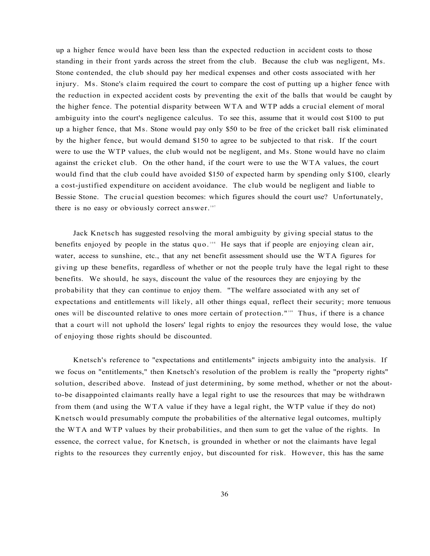up a higher fence would have been less than the expected reduction in accident costs to those standing in their front yards across the street from the club. Because the club was negligent, Ms. Stone contended, the club should pay her medical expenses and other costs associated with her injury. Ms. Stone's claim required the court to compare the cost of putting up a higher fence with the reduction in expected accident costs by preventing the exit of the balls that would be caught by the higher fence. The potential disparity between WTA and WTP adds a crucial element of moral ambiguity into the court's negligence calculus. To see this, assume that it would cost \$100 to put up a higher fence, that Ms. Stone would pay only \$50 to be free of the cricket ball risk eliminated by the higher fence, but would demand \$150 to agree to be subjected to that risk. If the court were to use the WTP values, the club would not be negligent, and Ms. Stone would have no claim against the cricket club. On the other hand, if the court were to use the WTA values, the court would find that the club could have avoided \$150 of expected harm by spending only \$100, clearly a cost-justified expenditure on accident avoidance. The club would be negligent and liable to Bessie Stone. The crucial question becomes: which figures should the court use? Unfortunately, there is no easy or obviously correct answer.<sup>107</sup>

Jack Knetsch has suggested resolving the moral ambiguity by giving special status to the benefits enjoyed by people in the status quo.<sup>108</sup> He says that if people are enjoying clean air, water, access to sunshine, etc., that any net benefit assessment should use the WTA figures for giving up these benefits, regardless of whether or not the people truly have the legal right to these benefits. We should, he says, discount the value of the resources they are enjoying by the probability that they can continue to enjoy them. "The welfare associated with any set of expectations and entitlements will likely, all other things equal, reflect their security; more tenuous ones will be discounted relative to ones more certain of protection."<sup>109</sup> Thus, if there is a chance that a court will not uphold the losers' legal rights to enjoy the resources they would lose, the value of enjoying those rights should be discounted.

Knetsch's reference to "expectations and entitlements" injects ambiguity into the analysis. If we focus on "entitlements," then Knetsch's resolution of the problem is really the "property rights" solution, described above. Instead of just determining, by some method, whether or not the aboutto-be disappointed claimants really have a legal right to use the resources that may be withdrawn from them (and using the WTA value if they have a legal right, the WTP value if they do not) Knetsch would presumably compute the probabilities of the alternative legal outcomes, multiply the WTA and WTP values by their probabilities, and then sum to get the value of the rights. In essence, the correct value, for Knetsch, is grounded in whether or not the claimants have legal rights to the resources they currently enjoy, but discounted for risk. However, this has the same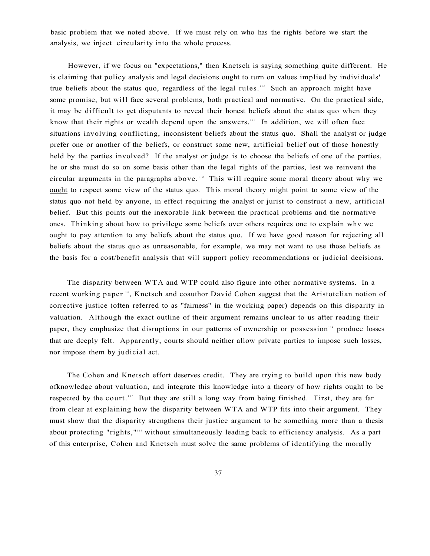basic problem that we noted above. If we must rely on who has the rights before we start the analysis, we inject circularity into the whole process.

However, if we focus on "expectations," then Knetsch is saying something quite different. He is claiming that policy analysis and legal decisions ought to turn on values implied by individuals' true beliefs about the status quo, regardless of the legal rules.<sup>110</sup> Such an approach might have some promise, but will face several problems, both practical and normative. On the practical side, it may be difficult to get disputants to reveal their honest beliefs about the status quo when they know that their rights or wealth depend upon the answers." In addition, we will often face situations involving conflicting, inconsistent beliefs about the status quo. Shall the analyst or judge prefer one or another of the beliefs, or construct some new, artificial belief out of those honestly held by the parties involved? If the analyst or judge is to choose the beliefs of one of the parties, he or she must do so on some basis other than the legal rights of the parties, lest we reinvent the circular arguments in the paragraphs above.<sup>112</sup> This will require some moral theory about why we ought to respect some view of the status quo. This moral theory might point to some view of the status quo not held by anyone, in effect requiring the analyst or jurist to construct a new, artificial belief. But this points out the inexorable link between the practical problems and the normative ones. Thinking about how to privilege some beliefs over others requires one to explain why we ought to pay attention to any beliefs about the status quo. If we have good reason for rejecting all beliefs about the status quo as unreasonable, for example, we may not want to use those beliefs as the basis for a cost/benefit analysis that will support policy recommendations or judicial decisions.

The disparity between WTA and WTP could also figure into other normative systems. In a recent working paper"<sup>3</sup>, Knetsch and coauthor David Cohen suggest that the Aristotelian notion of corrective justice (often referred to as "fairness" in the working paper) depends on this disparity in valuation. Although the exact outline of their argument remains unclear to us after reading their paper, they emphasize that disruptions in our patterns of ownership or possession<sup>114</sup> produce losses that are deeply felt. Apparently, courts should neither allow private parties to impose such losses, nor impose them by judicial act.

The Cohen and Knetsch effort deserves credit. They are trying to build upon this new body ofknowledge about valuation, and integrate this knowledge into a theory of how rights ought to be respected by the court." But they are still a long way from being finished. First, they are far from clear at explaining how the disparity between WTA and WTP fits into their argument. They must show that the disparity strengthens their justice argument to be something more than a thesis about protecting "rights,"" without simultaneously leading back to efficiency analysis. As a part of this enterprise, Cohen and Knetsch must solve the same problems of identifying the morally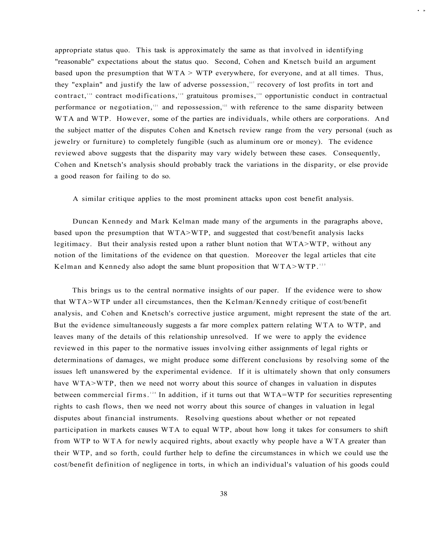appropriate status quo. This task is approximately the same as that involved in identifying "reasonable" expectations about the status quo. Second, Cohen and Knetsch build an argument based upon the presumption that  $WTA > WTP$  everywhere, for everyone, and at all times. Thus, they "explain" and justify the law of adverse possession," recovery of lost profits in tort and contract,<sup>118</sup> contract modifications,<sup>119</sup> gratuitous promises,<sup>120</sup> opportunistic conduct in contractual performance or negotiation,<sup>121</sup> and repossession,<sup>122</sup> with reference to the same disparity between WTA and WTP. However, some of the parties are individuals, while others are corporations. And the subject matter of the disputes Cohen and Knetsch review range from the very personal (such as jewelry or furniture) to completely fungible (such as aluminum ore or money). The evidence reviewed above suggests that the disparity may vary widely between these cases. Consequently, Cohen and Knetsch's analysis should probably track the variations in the disparity, or else provide a good reason for failing to do so.

**• »** 

A similar critique applies to the most prominent attacks upon cost benefit analysis.

Duncan Kennedy and Mark Kelman made many of the arguments in the paragraphs above, based upon the presumption that WTA>WTP, and suggested that cost/benefit analysis lacks legitimacy. But their analysis rested upon a rather blunt notion that WTA>WTP, without any notion of the limitations of the evidence on that question. Moreover the legal articles that cite Kelman and Kennedy also adopt the same blunt proposition that  $WTA > WTP$ .<sup>123</sup>

This brings us to the central normative insights of our paper. If the evidence were to show that WTA>WTP under all circumstances, then the Kelman/Kennedy critique of cost/benefit analysis, and Cohen and Knetsch's corrective justice argument, might represent the state of the art. But the evidence simultaneously suggests a far more complex pattern relating WTA to WTP, and leaves many of the details of this relationship unresolved. If we were to apply the evidence reviewed in this paper to the normative issues involving either assignments of legal rights or determinations of damages, we might produce some different conclusions by resolving some of the issues left unanswered by the experimental evidence. If it is ultimately shown that only consumers have WTA>WTP, then we need not worry about this source of changes in valuation in disputes between commercial firms.<sup>124</sup> In addition, if it turns out that WTA=WTP for securities representing rights to cash flows, then we need not worry about this source of changes in valuation in legal disputes about financial instruments. Resolving questions about whether or not repeated participation in markets causes WTA to equal WTP, about how long it takes for consumers to shift from WTP to WTA for newly acquired rights, about exactly why people have a WTA greater than their WTP, and so forth, could further help to define the circumstances in which we could use the cost/benefit definition of negligence in torts, in which an individual's valuation of his goods could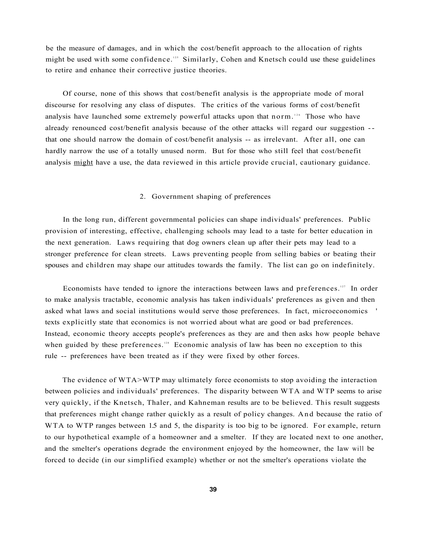be the measure of damages, and in which the cost/benefit approach to the allocation of rights might be used with some confidence.<sup>125</sup> Similarly, Cohen and Knetsch could use these guidelines to retire and enhance their corrective justice theories.

Of course, none of this shows that cost/benefit analysis is the appropriate mode of moral discourse for resolving any class of disputes. The critics of the various forms of cost/benefit analysis have launched some extremely powerful attacks upon that norm.<sup>126</sup> Those who have already renounced cost/benefit analysis because of the other attacks will regard our suggestion - that one should narrow the domain of cost/benefit analysis -- as irrelevant. After all, one can hardly narrow the use of a totally unused norm. But for those who still feel that cost/benefit analysis might have a use, the data reviewed in this article provide crucial, cautionary guidance.

#### 2. Government shaping of preferences

In the long run, different governmental policies can shape individuals' preferences. Public provision of interesting, effective, challenging schools may lead to a taste for better education in the next generation. Laws requiring that dog owners clean up after their pets may lead to a stronger preference for clean streets. Laws preventing people from selling babies or beating their spouses and children may shape our attitudes towards the family. The list can go on indefinitely.

Economists have tended to ignore the interactions between laws and preferences.<sup>127</sup> In order to make analysis tractable, economic analysis has taken individuals' preferences as given and then asked what laws and social institutions would serve those preferences. In fact, microeconomics ' texts explicitly state that economics is not worried about what are good or bad preferences. Instead, economic theory accepts people's preferences as they are and then asks how people behave when guided by these preferences.<sup>128</sup> Economic analysis of law has been no exception to this rule -- preferences have been treated as if they were fixed by other forces.

The evidence of WTA>WTP may ultimately force economists to stop avoiding the interaction between policies and individuals' preferences. The disparity between WTA and WTP seems to arise very quickly, if the Knetsch, Thaler, and Kahneman results are to be believed. This result suggests that preferences might change rather quickly as a result of policy changes. An d because the ratio of WTA to WTP ranges between 1.5 and 5, the disparity is too big to be ignored. For example, return to our hypothetical example of a homeowner and a smelter. If they are located next to one another, and the smelter's operations degrade the environment enjoyed by the homeowner, the law will be forced to decide (in our simplified example) whether or not the smelter's operations violate the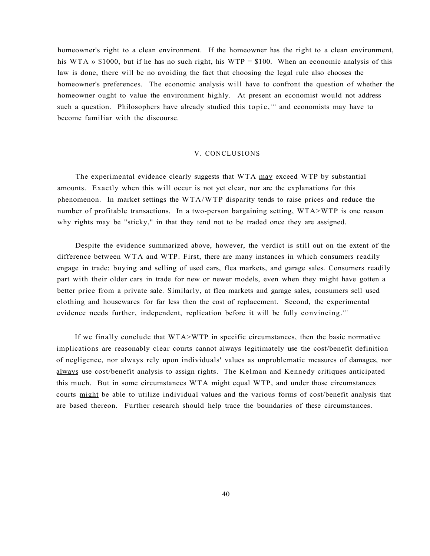homeowner's right to a clean environment. If the homeowner has the right to a clean environment, his WTA » \$1000, but if he has no such right, his WTP = \$100. When an economic analysis of this law is done, there will be no avoiding the fact that choosing the legal rule also chooses the homeowner's preferences. The economic analysis will have to confront the question of whether the homeowner ought to value the environment highly. At present an economist would not address such a question. Philosophers have already studied this topic, $12$  and economists may have to become familiar with the discourse.

#### V. CONCLUSIONS

The experimental evidence clearly suggests that WTA may exceed WTP by substantial amounts. Exactly when this will occur is not yet clear, nor are the explanations for this phenomenon. In market settings the WTA/WTP disparity tends to raise prices and reduce the number of profitable transactions. In a two-person bargaining setting, WTA>WTP is one reason why rights may be "sticky," in that they tend not to be traded once they are assigned.

Despite the evidence summarized above, however, the verdict is still out on the extent of the difference between WTA and WTP. First, there are many instances in which consumers readily engage in trade: buying and selling of used cars, flea markets, and garage sales. Consumers readily part with their older cars in trade for new or newer models, even when they might have gotten a better price from a private sale. Similarly, at flea markets and garage sales, consumers sell used clothing and housewares for far less then the cost of replacement. Second, the experimental evidence needs further, independent, replication before it will be fully convincing.<sup>130</sup>

If we finally conclude that WTA>WTP in specific circumstances, then the basic normative implications are reasonably clear courts cannot always legitimately use the cost/benefit definition of negligence, nor always rely upon individuals' values as unproblematic measures of damages, nor always use cost/benefit analysis to assign rights. The Kelman and Kennedy critiques anticipated this much. But in some circumstances WTA might equal WTP, and under those circumstances courts might be able to utilize individual values and the various forms of cost/benefit analysis that are based thereon. Further research should help trace the boundaries of these circumstances.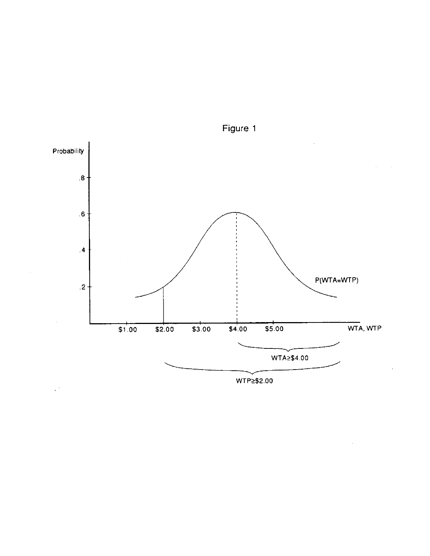

Figure 1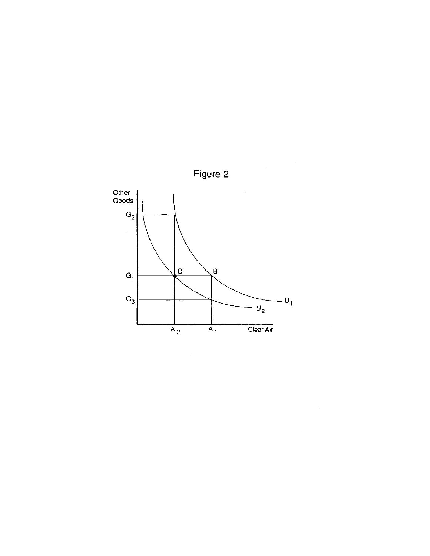

 $\hat{\mathcal{A}}$ 

Figure 2

 $\mathcal{A}^{\mathcal{A}}$ 

 $\sim$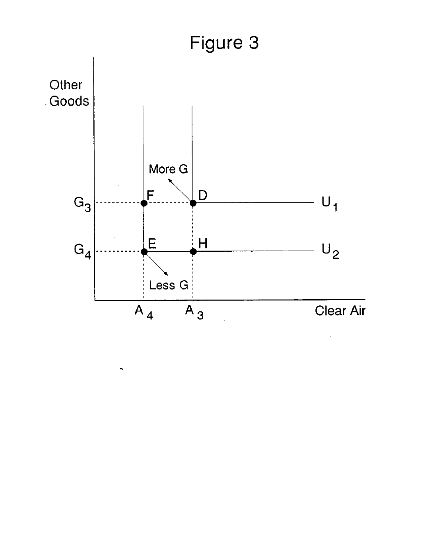# Figure 3



Ŷ,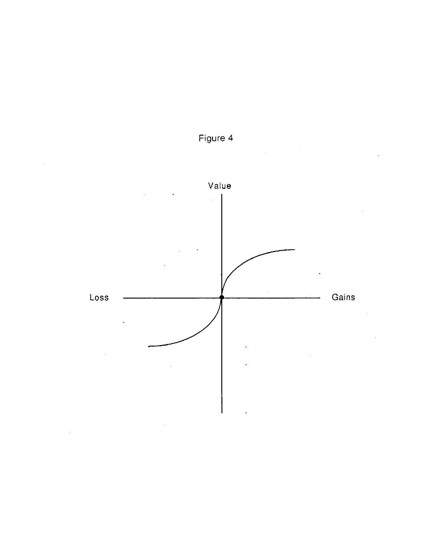



 $\sim$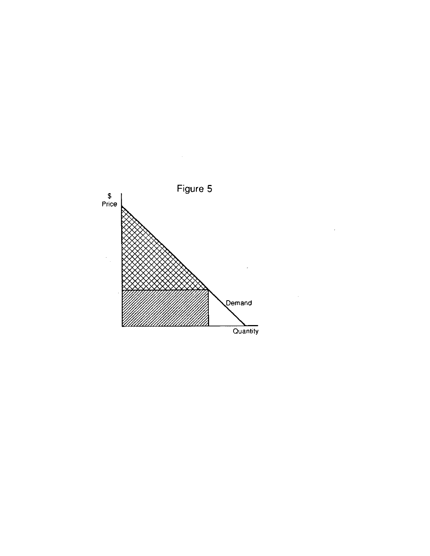

 $\cdot$ 

 $\bar{z}$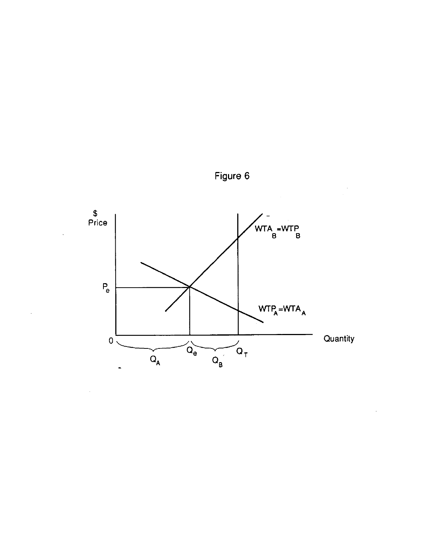

Figure 6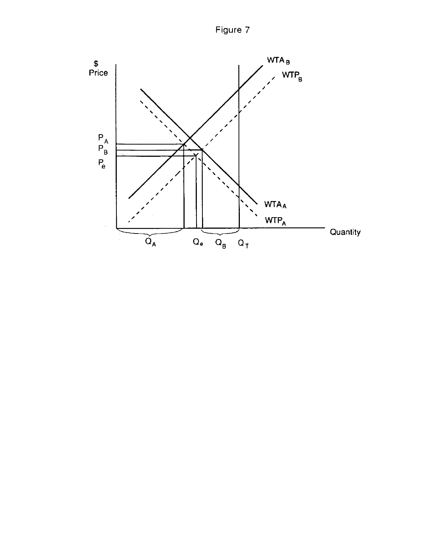Figure 7

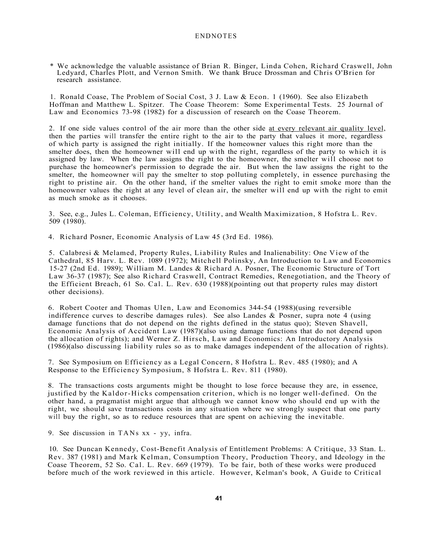#### ENDNOTES

\* We acknowledge the valuable assistance of Brian R. Binger, Linda Cohen, Richard Craswell, John Ledyard, Charles Plott, and Vernon Smith. We thank Bruce Drossman and Chris O'Brien for research assistance.

1. Ronald Coase, The Problem of Social Cost, 3 J. Law & Econ. 1 (1960). See also Elizabeth Hoffman and Matthew L. Spitzer. The Coase Theorem: Some Experimental Tests. 25 Journal of Law and Economics 73-98 (1982) for a discussion of research on the Coase Theorem.

2. If one side values control of the air more than the other side at every relevant air quality level, then the parties will transfer the entire right to the air to the party that values it more, regardless of which party is assigned the right initially. If the homeowner values this right more than the smelter does, then the homeowner will end up with the right, regardless of the party to which it is assigned by law. When the law assigns the right to the homeowner, the smelter will choose not to purchase the homeowner's permission to degrade the air. But when the law assigns the right to the smelter, the homeowner will pay the smelter to stop polluting completely, in essence purchasing the right to pristine air. On the other hand, if the smelter values the right to emit smoke more than the homeowner values the right at any level of clean air, the smelter will end up with the right to emit as much smoke as it chooses.

3. See, e.g., Jules L. Coleman, Efficiency, Utility, and Wealth Maximization, 8 Hofstra L. Rev. 509 (1980).

4. Richard Posner, Economic Analysis of Law 45 (3rd Ed. 1986).

5. Calabresi & Melamed, Property Rules, Liability Rules and Inalienability: One View of the Cathedral, 85 Harv. L. Rev. 1089 (1972); Mitchell Polinsky, An Introduction to Law and Economics 15-27 (2nd Ed. 1989); William M. Landes & Richard A. Posner, The Economic Structure of Tort Law 36-37 (1987); See also Richard Craswell, Contract Remedies, Renegotiation, and the Theory of the Efficient Breach, 61 So. Cal. L. Rev. 630 (1988)(pointing out that property rules may distort other decisions).

6. Robert Cooter and Thomas Ulen, Law and Economics 344-54 (1988)(using reversible indifference curves to describe damages rules). See also Landes & Posner, supra note 4 (using damage functions that do not depend on the rights defined in the status quo); Steven Shavell, Economic Analysis of Accident Law (1987)(also using damage functions that do not depend upon the allocation of rights); and Werner Z. Hirsch, Law and Economics: An Introductory Analysis (1986)(also discussing liability rules so as to make damages independent of the allocation of rights).

7. See Symposium on Efficiency as a Legal Concern, 8 Hofstra L. Rev. 485 (1980); and A Response to the Efficiency Symposium, 8 Hofstra L. Rev. 811 (1980).

8. The transactions costs arguments might be thought to lose force because they are, in essence, justified by the Kaldor-Hicks compensation criterion, which is no longer well-defined. On the other hand, a pragmatist might argue that although we cannot know who should end up with the right, we should save transactions costs in any situation where we strongly suspect that one party will buy the right, so as to reduce resources that are spent on achieving the inevitable.

9. See discussion in TANs xx - yy, infra.

10. See Duncan Kennedy, Cost-Benefit Analysis of Entitlement Problems: A Critique, 33 Stan. L. Rev. 387 (1981) and Mark Kelman, Consumption Theory, Production Theory, and Ideology in the Coase Theorem, 52 So. Cal. L. Rev. 669 (1979). To be fair, both of these works were produced before much of the work reviewed in this article. However, Kelman's book, A Guide to Critical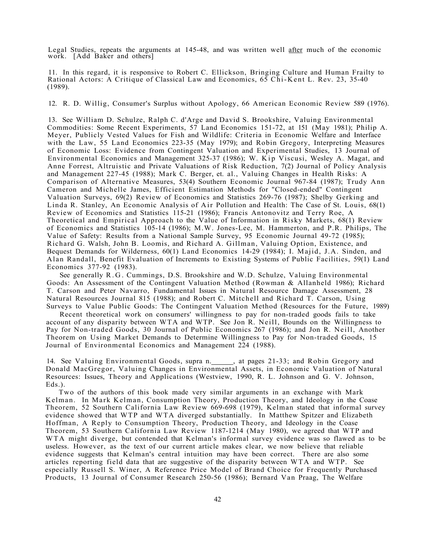Legal Studies, repeats the arguments at 145-48, and was written well after much of the economic work. [Add Baker and others]

11. In this regard, it is responsive to Robert C. Ellickson, Bringing Culture and Human Frailty to Rational Actors: A Critique of Classical Law and Economics, 65 Chi-Kent L. Rev. 23, 35-40 (1989).

12. R. D. Willig, Consumer's Surplus without Apology, 66 American Economic Review 589 (1976).

13. See William D. Schulze, Ralph C. d'Arge and David S. Brookshire, Valuing Environmental Commodities: Some Recent Experiments, 57 Land Economics 151-72, at 151 (May 1981); Philip A. Meyer, Publicly Vested Values for Fish and Wildlife: Criteria in Economic Welfare and Interface with the Law, 55 Land Economics 223-35 (May 1979); and Robin Gregory, Interpreting Measures of Economic Loss: Evidence from Contingent Valuation and Experimental Studies, 13 Journal of Environmental Economics and Management 325-37 (1986); W. Kip Viscusi, Wesley A. Magat, and Anne Forrest, Altruistic and Private Valuations of Risk Reduction, 7(2) Journal of Policy Analysis and Management 227-45 (1988); Mark C. Berger, et. al., Valuing Changes in Health Risks: A Comparison of Alternative Measures, 53(4) Southern Economic Journal 967-84 (1987); Trudy Ann Cameron and Michelle James, Efficient Estimation Methods for "Closed-ended" Contingent Valuation Surveys, 69(2) Review of Economics and Statistics 269-76 (1987); Shelby Gerking and Linda R. Stanley, An Economic Analysis of Air Pollution and Health: The Case of St. Louis, 68(1) Review of Economics and Statistics 115-21 (1986); Francis Antonovitz and Terry Roe, A Theoretical and Empirical Approach to the Value of Information in Risky Markets, 68(1) Review of Economics and Statistics 105-14 (1986); M.W. Jones-Lee, M. Hammerton, and P.R. Philips, The Value of Safety: Results from a National Sample Survey, 95 Economic Journal 49-72 (1985); Richard G. Walsh, John B. Loomis, and Richard A. Gillman, Valuing Option, Existence, and Bequest Demands for Wilderness, 60(1) Land Economics 14-29 (1984); I. Majid, J.A. Sinden, and Alan Randall, Benefit Evaluation of Increments to Existing Systems of Public Facilities, 59(1) Land Economics 377-92 (1983).

See generally R.G . Cummings, D.S. Brookshire and W.D. Schulze, Valuing Environmental Goods: An Assessment of the Contingent Valuation Method (Rowman & Allanheld 1986); Richard T. Carson and Peter Navarro, Fundamental Issues in Natural Resource Damage Assessment, 28 Natural Resources Journal 815 (1988); and Robert C. Mitchell and Richard T. Carson, Using Surveys to Value Public Goods: The Contingent Valuation Method (Resources for the Future, 1989)

Recent theoretical work on consumers' willingness to pay for non-traded goods fails to take account of any disparity between WTA and WTP. See Jon R. Neill, Bounds on the Willingness to Pay for Non-traded Goods, 30 Journal of Public Economics 267 (1986); and Jon R. Neill, Another Theorem on Using Market Demands to Determine Willingness to Pay for Non-traded Goods, 15 Journal of Environmental Economics and Management 224 (1988).

14. See Valuing Environmental Goods, supra n. \_\_\_\_\_, at pages 21-33; and Robin Gregory and Donald MacGregor, Valuing Changes in Environmental Assets, in Economic Valuation of Natural Resources: Issues, Theory and Applications (Westview, 1990, R. L. Johnson and G. V. Johnson, Eds.).

Two of the authors of this book made very similar arguments in an exchange with Mark Kelman. In Mark Kelman, Consumption Theory, Production Theory, and Ideology in the Coase Theorem, 52 Southern California Law Review 669-698 (1979), Kelman stated that informal survey evidence showed that WTP and WTA diverged substantially. In Matthew Spitzer and Elizabeth Hoffman, A Reply to Consumption Theory, Production Theory, and Ideology in the Coase Theorem, 53 Southern California Law Review 1187-1214 (May 1980), we agreed that WTP and W TA might diverge, but contended that Kelman's informal survey evidence was so flawed as to be useless. However, as the text of our current article makes clear, we now believe that reliable evidence suggests that Kelman's central intuition may have been correct. There are also some articles reporting field data that are suggestive of the disparity between WTA and WTP. See especially Russell S. Winer, A Reference Price Model of Brand Choice for Frequently Purchased Products, 13 Journal of Consumer Research 250-56 (1986); Bernard Van Praag, The Welfare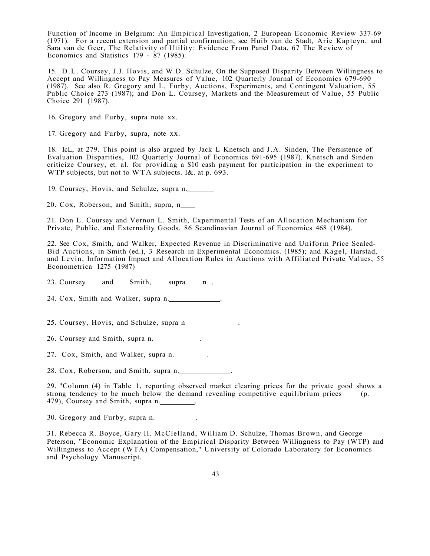Function of Income in Belgium: An Empirical Investigation, 2 European Economic Review 337-69 (1971). For a recent extension and partial confirmation, see Huib van de Stadt, Arie Kapteyn, and Sara van de Geer, The Relativity of Utility: Evidence From Panel Data, 67 The Review of Economics and Statistics 179 - 87 (1985).

15. D.L. Coursey, J.J. Hovis, and W.D. Schulze, On the Supposed Disparity Between Willingness to Accept and Willingness to Pay Measures of Value, 102 Quarterly Journal of Economics 679-690 (1987). See also R. Gregory and L. Furby, Auctions, Experiments, and Contingent Valuation, 55 Public Choice 273 (1987); and Don L. Coursey, Markets and the Measurement of Value, 55 Public Choice 291 (1987).

16. Gregory and Furby, supra note xx.

17. Gregory and Furby, supra, note xx.

18. IcL, at 279. This point is also argued by Jack L Knetsch and J.A. Sinden, The Persistence of Evaluation Disparities, 102 Quarterly Journal of Economics 691-695 (1987). Knetsch and Sinden criticize Coursey, et. al. for providing a \$10 cash payment for participation in the experiment to WTP subjects, but not to WTA subjects. I&. at p. 693.

19. Coursey, Hovis, and Schulze, supra n.

20. Cox, Roberson, and Smith, supra, n

21. Don L. Coursey and Vernon L. Smith, Experimental Tests of an Allocation Mechanism for Private, Public, and Externality Goods, 86 Scandinavian Journal of Economics 468 (1984).

22. See Cox, Smith, and Walker, Expected Revenue in Discriminative and Uniform Price Sealed-Bid Auctions, in Smith (ed.), 3 Research in Experimental Economics. (1985); and Kagel, Harstad, and Levin, Information Impact and Allocation Rules in Auctions with Affiliated Private Values, 55 Econometrica 1275 (1987)

23. Coursey and Smith, supra n .

24. Cox, Smith and Walker, supra n.

25. Coursey, Hovis, and Schulze, supra n .

26. Coursey and Smith, supra n.

27. Cox, Smith, and Walker, supra n.

28. Cox, Roberson, and Smith, supra n.

29. "Column (4) in Table 1, reporting observed market clearing prices for the private good shows a strong tendency to be much below the demand revealing competitive equilibrium prices (p. 479), Coursey and Smith, supra n.

30. Gregory and Furby, supra n.

31. Rebecca R. Boyce, Gary H. McClelland, William D. Schulze, Thomas Brown, and George Peterson, "Economic Explanation of the Empirical Disparity Between Willingness to Pay (WTP) and Willingness to Accept (WTA) Compensation," University of Colorado Laboratory for Economics and Psychology Manuscript.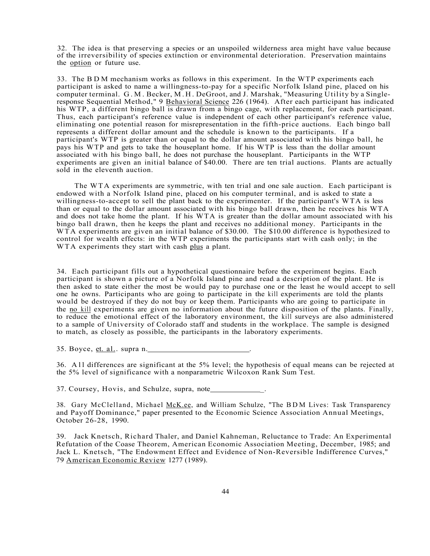32. The idea is that preserving a species or an unspoiled wilderness area might have value because of the irreversibility of species extinction or environmental deterioration. Preservation maintains the option or future use.

33. The BD M mechanism works as follows in this experiment. In the WTP experiments each participant is asked to name a willingness-to-pay for a specific Norfolk Island pine, placed on his computer terminal. G.M . Becker, M.H . DeGroot, and J. Marshak, "Measuring Utility by a Singleresponse Sequential Method," 9 Behavioral Science 226 (1964). After each participant has indicated his WTP, a different bingo ball is drawn from a bingo cage, with replacement, for each participant. Thus, each participant's reference value is independent of each other participant's reference value, eliminating one potential reason for misrepresentation in the fifth-price auctions. Each bingo ball represents a different dollar amount and the schedule is known to the participants. If a participant's WTP is greater than or equal to the dollar amount associated with his bingo ball, he pays his WTP and gets to take the houseplant home. If his WTP is less than the dollar amount associated with his bingo ball, he does not purchase the houseplant. Participants in the WTP experiments are given an initial balance of \$40.00. There are ten trial auctions. Plants are actually sold in the eleventh auction.

The WTA experiments are symmetric, with ten trial and one sale auction. Each participant is endowed with a Norfolk Island pine, placed on his computer terminal, and is asked to state a willingness-to-accept to sell the plant back to the experimenter. If the participant's WTA is less than or equal to the dollar amount associated with his bingo ball drawn, then he receives his WTA and does not take home the plant. If his WTA is greater than the dollar amount associated with his bingo ball drawn, then he keeps the plant and receives no additional money. Participants in the WTA experiments are given an initial balance of \$30.00. The \$10.00 difference is hypothesized to control for wealth effects: in the WTP experiments the participants start with cash only; in the WTA experiments they start with cash plus a plant.

34. Each participant fills out a hypothetical questionnaire before the experiment begins. Each participant is shown a picture of a Norfolk Island pine and read a description of the plant. He is then asked to state either the most be would pay to purchase one or the least he would accept to sell one he owns. Participants who are going to participate in the kill experiments are told the plants would be destroyed if they do not buy or keep them. Participants who are going to participate in the no kill experiments are given no information about the future disposition of the plants. Finally, to reduce the emotional effect of the laboratory environment, the kill surveys are also administered to a sample of University of Colorado staff and students in the workplace. The sample is designed to match, as closely as possible, the participants in the laboratory experiments.

 $35. Byce, et. al. supra n.$ 

36. All differences are significant at the 5% level; the hypothesis of equal means can be rejected at the 5% level of significance with a nonparametric Wilcoxon Rank Sum Test.

37. Coursey, Hovis, and Schulze, supra, note\_\_\_\_\_\_

38. Gary McClelland, Michael [McK.ee,](http://McK.ee) and William Schulze, "The BD M Lives: Task Transparency and Payoff Dominance," paper presented to the Economic Science Association Annual Meetings, October 26-28, 1990.

39. Jack Knetsch, Richard Thaler, and Daniel Kahneman, Reluctance to Trade: An Experimental Refutation of the Coase Theorem, American Economic Association Meeting, December, 1985; and Jack L. Knetsch, "The Endowment Effect and Evidence of Non-Reversible Indifference Curves," 79 American Economic Review 1277 (1989).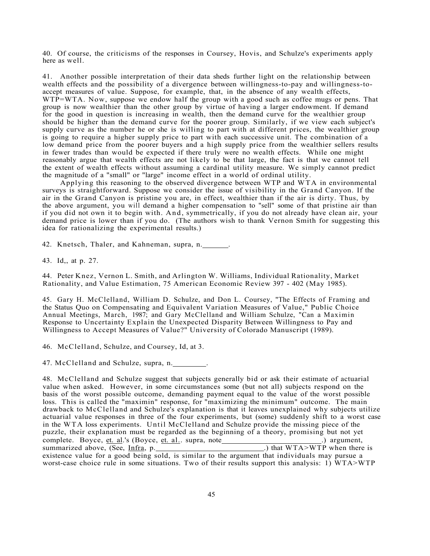40. Of course, the criticisms of the responses in Coursey, Hovis, and Schulze's experiments apply here as well.

41. Another possible interpretation of their data sheds further light on the relationship between wealth effects and the possibility of a divergence between willingness-to-pay and willingness-toaccept measures of value. Suppose, for example, that, in the absence of any wealth effects, WTP=WTA. Now, suppose we endow half the group with a good such as coffee mugs or pens. That group is now wealthier than the other group by virtue of having a larger endowment. If demand for the good in question is increasing in wealth, then the demand curve for the wealthier group should be higher than the demand curve for the poorer group. Similarly, if we view each subject's supply curve as the number he or she is willing to part with at different prices, the wealthier group is going to require a higher supply price to part with each successive unit. The combination of a low demand price from the poorer buyers and a high supply price from the wealthier sellers results in fewer trades than would be expected if there truly were no wealth effects. While one might reasonably argue that wealth effects are not likely to be that large, the fact is that we cannot tell the extent of wealth effects without assuming a cardinal utility measure. We simply cannot predict the magnitude of a "small" or "large" income effect in a world of ordinal utility.

Applying this reasoning to the observed divergence between WTP and WTA in environmental surveys is straightforward. Suppose we consider the issue of visibility in the Grand Canyon. If the air in the Grand Canyon is pristine you are, in effect, wealthier than if the air is dirty. Thus, by the above argument, you will demand a higher compensation to "sell" some of that pristine air than if you did not own it to begin with. And, symmetrically, if you do not already have clean air, your demand price is lower than if you do. (The authors wish to thank Vernon Smith for suggesting this idea for rationalizing the experimental results.)

42. Knetsch, Thaler, and Kahneman, supra, n.

43. Id,, at p. 27.

44. Peter Knez, Vernon L. Smith, and Arlington W. Williams, Individual Rationality, Market Rationality, and Value Estimation, 75 American Economic Review 397 - 402 (May 1985).

45. Gary H. McClelland, William D. Schulze, and Don L. Coursey, "The Effects of Framing and the Status Quo on Compensating and Equivalent Variation Measures of Value," Public Choice Annual Meetings, March, 1987; and Gary McClelland and William Schulze, "Can a Maximin Response to Uncertainty Explain the Unexpected Disparity Between Willingness to Pay and Willingness to Accept Measures of Value?" University of Colorado Manuscript (1989).

46. McClelland, Schulze, and Coursey, Id, at 3.

47. McClelland and Schulze, supra, n.

48. McClelland and Schulze suggest that subjects generally bid or ask their estimate of actuarial value when asked. However, in some circumstances some (but not all) subjects respond on the basis of the worst possible outcome, demanding payment equal to the value of the worst possible loss. This is called the "maximin" response, for "maximizing the minimum" outcome. The main drawback to McClelland and Schulze's explanation is that it leaves unexplained why subjects utilize actuarial value responses in three of the four experiments, but (some) suddenly shift to a worst case in the WTA loss experiments. Until McClelland and Schulze provide the missing piece of the puzzle, their explanation must be regarded as the beginning of a theory, promising but not yet complete. Boyce, et. al.'s (Boyce, et. al.. supra, note<br>summarized above, (See, Infra, p. .) that WTA>WTP when there is summarized above, (See, <u>Infra,</u> p. 1992) that WTA>WTP when there is existence value for a good being sold, is similar to the argument that individuals may pursue a worst-case choice rule in some situations. Two of their results support this analysis: 1) WTA>WTP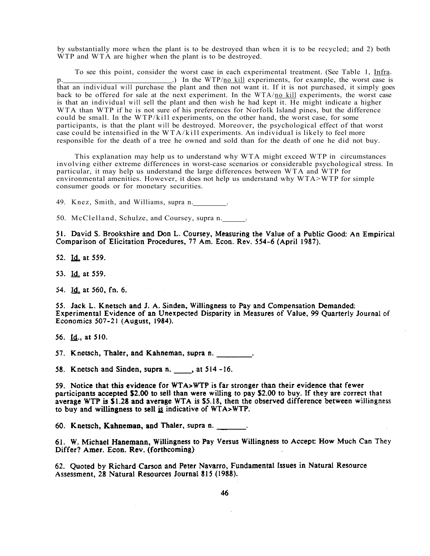by substantially more when the plant is to be destroyed than when it is to be recycled; and 2) both WTP and WTA are higher when the plant is to be destroyed.

To see this point, consider the worst case in each experimental treatment. (See Table 1, Infra.  $\Box$ ) In the WTP/<u>no kill</u> experiments, for example, the worst case is that an individual will purchase the plant and then not want it. If it is not purchased, it simply goes back to be offered for sale at the next experiment. In the WTA/no kill experiments, the worst case is that an individual will sell the plant and then wish he had kept it. He might indicate a higher WTA than WTP if he is not sure of his preferences for Norfolk Island pines, but the difference could be small. In the WTP/kill experiments, on the other hand, the worst case, for some participants, is that the plant will be destroyed. Moreover, the psychological effect of that worst case could be intensified in the WTA/kill experiments. An individual is likely to feel more responsible for the death of a tree he owned and sold than for the death of one he did not buy.

This explanation may help us to understand why WTA might exceed WTP in circumstances involving either extreme differences in worst-case scenarios or considerable psychological stress. In particular, it may help us understand the large differences between WTA and WTP for environmental amenities. However, it does not help us understand why WTA>WTP for simple consumer goods or for monetary securities.

49. Knez, Smith, and Williams, supra n. .

50. McClelland, Schulze, and Coursey, supra n.

51. David S. Brookshire and Don L. Coursey, Measuring the Value of a Public Good: An Empirical Comparison of Elicitation Procedures, 77 Am. Econ. Rev. 554-6 (April 1987).

52. Id. at 559.

53. Id. at 559.

54. Id. at 560, fn. 6.

55. Jack L. Knetsch and J. A. Sinden, Willingness to Pay and Compensation Demanded: Experimental Evidence of an Unexpected Disparity in Measures of Value, 99 Quarterly Journal of Economics 507-21 (August, 1984).

56. Id., at 510.

57. Knetsch, Thaler, and Kahneman, supra n.

58. Knetsch and Sinden, supra n. \_\_\_\_, at 514 -16.

59. Notice that this evidence for WTA>WTP is far stronger than their evidence that fewer participants accepted \$2.00 to sell than were willing to pay \$2.00 to buy. If they are correct that average WTP is \$1.28 and average WTA is \$5.18, then the observed difference between willingness to buy and willingness to sell is indicative of WTA>WTP.

60. Knetsch, Kahneman, and Thaler, supra n.

61. W. Michael Hanemann, Willingness to Pay Versus Willingness to Accept: How Much Can They Differ? Amer. Econ. Rev. (forthcoming)

62. Quoted by Richard Carson and Peter Navarro, Fundamental Issues in Natural Resource Assessment, 28 Natural Resources Journal 815 (1988).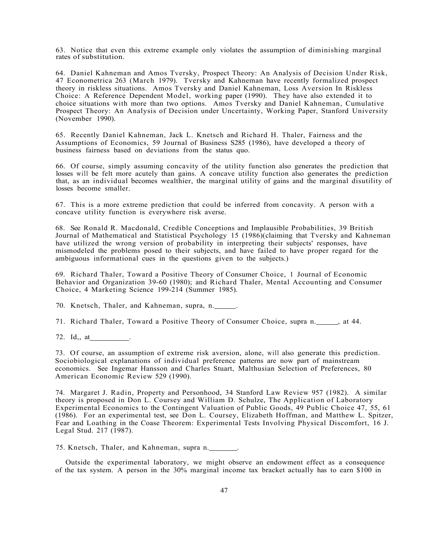63. Notice that even this extreme example only violates the assumption of diminishing marginal rates of substitution.

64. Daniel Kahneman and Amos Tversky, Prospect Theory: An Analysis of Decision Under Risk, 47 Econometrica 263 (March 1979). Tversky and Kahneman have recently formalized prospect theory in riskless situations. Amos Tversky and Daniel Kahneman, Loss Aversion In Riskless Choice: A Reference Dependent Model, working paper (1990). They have also extended it to choice situations with more than two options. Amos Tversky and Daniel Kahneman, Cumulative Prospect Theory: An Analysis of Decision under Uncertainty, Working Paper, Stanford University (November 1990).

65. Recently Daniel Kahneman, Jack L. Knetsch and Richard H. Thaler, Fairness and the Assumptions of Economics, 59 Journal of Business S285 (1986), have developed a theory of business fairness based on deviations from the status quo.

66. Of course, simply assuming concavity of the utility function also generates the prediction that losses will be felt more acutely than gains. A concave utility function also generates the prediction that, as an individual becomes wealthier, the marginal utility of gains and the marginal disutility of losses become smaller.

67. This is a more extreme prediction that could be inferred from concavity. A person with a concave utility function is everywhere risk averse.

68. See Ronald R. Macdonald, Credible Conceptions and Implausible Probabilities, 39 British Journal of Mathematical and Statistical Psychology 15 (1986)(claiming that Tversky and Kahneman have utilized the wrong version of probability in interpreting their subjects' responses, have mismodeled the problems posed to their subjects, and have failed to have proper regard for the ambiguous informational cues in the questions given to the subjects.)

69. Richard Thaler, Toward a Positive Theory of Consumer Choice, 1 Journal of Economic Behavior and Organization 39-60 (1980); and Richard Thaler, Mental Accounting and Consumer Choice, 4 Marketing Science 199-214 (Summer 1985).

70. Knetsch, Thaler, and Kahneman, supra, n.

71. Richard Thaler, Toward a Positive Theory of Consumer Choice, supra n. , at 44.

72. Id,, at .

73. Of course, an assumption of extreme risk aversion, alone, will also generate this prediction. Sociobiological explanations of individual preference patterns are now part of mainstream economics. See Ingemar Hansson and Charles Stuart, Malthusian Selection of Preferences, 80 American Economic Review 529 (1990).

74. Margaret J. Radin, Property and Personhood, 34 Stanford Law Review 957 (1982). A similar theory is proposed in Don L. Coursey and William D. Schulze, The Application of Laboratory Experimental Economics to the Contingent Valuation of Public Goods, 49 Public Choice 47, 55, 61 (1986). For an experimental test, see Don L. Coursey, Elizabeth Hoffman, and Matthew L. Spitzer, Fear and Loathing in the Coase Theorem: Experimental Tests Involving Physical Discomfort, 16 J. Legal Stud. 217 (1987).

75. Knetsch, Thaler, and Kahneman, supra n.

Outside the experimental laboratory, we might observe an endowment effect as a consequence of the tax system. A person in the 30% marginal income tax bracket actually has to earn \$100 in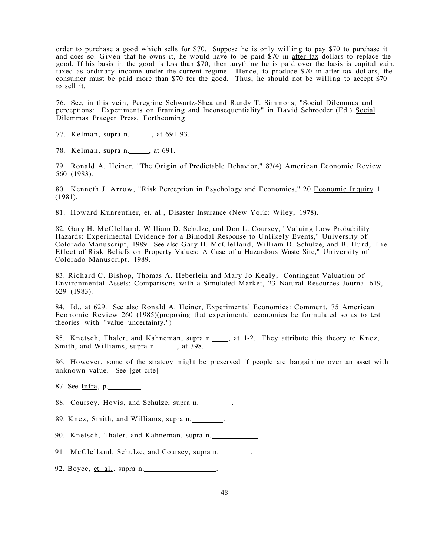order to purchase a good which sells for \$70. Suppose he is only willing to pay \$70 to purchase it and does so. Given that he owns it, he would have to be paid \$70 in after tax dollars to replace the good. If his basis in the good is less than \$70, then anything he is paid over the basis is capital gain, taxed as ordinary income under the current regime. Hence, to produce \$70 in after tax dollars, the consumer must be paid more than \$70 for the good. Thus, he should not be willing to accept \$70 to sell it.

76. See, in this vein, Peregrine Schwartz-Shea and Randy T. Simmons, "Social Dilemmas and perceptions: Experiments on Framing and Inconsequentiality" in David Schroeder (Ed.) Social Dilemmas Praeger Press, Forthcoming

- 77. Kelman, supra n. \_\_\_\_\_, at 691-93.
- 78. Kelman, supra n. \_\_\_\_\_, at 691.

79. Ronald A. Heiner, "The Origin of Predictable Behavior," 83(4) American Economic Review 560 (1983).

80. Kenneth J. Arrow, "Risk Perception in Psychology and Economics," 20 Economic Inquiry 1 (1981).

81. Howard Kunreuther, et. al., Disaster Insurance (New York: Wiley, 1978).

82. Gary H. McClelland, William D. Schulze, and Don L. Coursey, "Valuing Low Probability Hazards: Experimental Evidence for a Bimodal Response to Unlikely Events," University of Colorado Manuscript, 1989. See also Gary H. McClelland, William D. Schulze, and B. Hurd, The Effect of Risk Beliefs on Property Values: A Case of a Hazardous Waste Site," University of Colorado Manuscript, 1989.

83. Richard C. Bishop, Thomas A. Heberlein and Mary Jo Kealy, Contingent Valuation of Environmental Assets: Comparisons with a Simulated Market, 23 Natural Resources Journal 619, 629 (1983).

84. Id,, at 629. See also Ronald A. Heiner, Experimental Economics: Comment, 75 American Economic Review 260 (1985)(proposing that experimental economics be formulated so as to test theories with "value uncertainty.")

85. Knetsch, Thaler, and Kahneman, supra n. \_\_\_, at 1-2. They attribute this theory to Knez, Smith, and Williams, supra n. , at 398.

86. However, some of the strategy might be preserved if people are bargaining over an asset with unknown value. See [get cite]

87. See <u>Infra</u>, p. \_\_\_\_\_\_\_\_\_.

88. Coursey, Hovis, and Schulze, supra n.

89. Knez, Smith, and Williams, supra n.

90. Knetsch, Thaler, and Kahneman, supra n.

91. McClelland, Schulze, and Coursey, supra n.

92. Boyce, et. al.. supra n.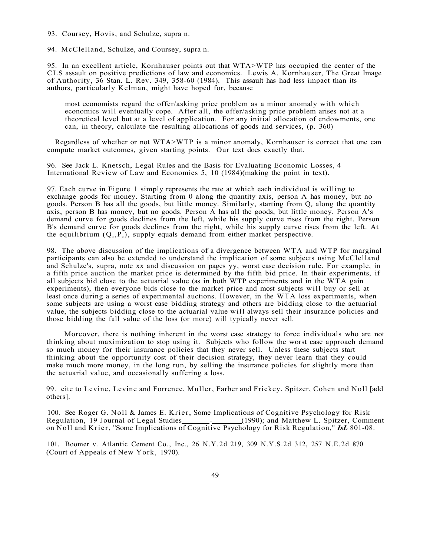93. Coursey, Hovis, and Schulze, supra n.

94. McClelland, Schulze, and Coursey, supra n.

95. In an excellent article, Kornhauser points out that WTA>WTP has occupied the center of the CLS assault on positive predictions of law and economics. Lewis A. Kornhauser, The Great Image of Authority, 36 Stan. L. Rev. 349, 358-60 (1984). This assault has had less impact than its authors, particularly Kelman, might have hoped for, because

most economists regard the offer/asking price problem as a minor anomaly with which economics will eventually cope. After all, the offer/asking price problem arises not at a theoretical level but at a level of application. For any initial allocation of endowments, one can, in theory, calculate the resulting allocations of goods and services, (p. 360)

Regardless of whether or not WTA>WTP is a minor anomaly, Kornhauser is correct that one can compute market outcomes, given starting points. Our text does exactly that.

96. See Jack L. Knetsch, Legal Rules and the Basis for Evaluating Economic Losses, 4 International Review of Law and Economics 5, 10 (1984)(making the point in text).

97. Each curve in Figure 1 simply represents the rate at which each individual is willing to exchange goods for money. Starting from 0 along the quantity axis, person A has money, but no goods. Person B has all the goods, but little money. Similarly, starting from  $Q<sub>r</sub>$  along the quantity axis, person B has money, but no goods. Person A has all the goods, but little money. Person A's demand curve for goods declines from the left, while his supply curve rises from the right. Person B's demand curve for goods declines from the right, while his supply curve rises from the left. At the equilibrium  $(Q_\cdot, P_\cdot)$ , supply equals demand from either market perspective.

98. The above discussion of the implications of a divergence between WTA and WTP for marginal participants can also be extended to understand the implication of some subjects using McClelland and Schulze's, supra, note xx and discussion on pages yy, worst case decision rule. For example, in a fifth price auction the market price is determined by the fifth bid price. In their experiments, if all subjects bid close to the actuarial value (as in both WTP experiments and in the WTA gain experiments), then everyone bids close to the market price and most subjects will buy or sell at least once during a series of experimental auctions. However, in the WTA loss experiments, when some subjects are using a worst case bidding strategy and others are bidding close to the actuarial value, the subjects bidding close to the actuarial value will always sell their insurance policies and those bidding the full value of the loss (or more) will typically never sell.

Moreover, there is nothing inherent in the worst case strategy to force individuals who are not thinking about maximization to stop using it. Subjects who follow the worst case approach demand so much money for their insurance policies that they never sell. Unless these subjects start thinking about the opportunity cost of their decision strategy, they never learn that they could make much more money, in the long run, by selling the insurance policies for slightly more than the actuarial value, and occasionally suffering a loss.

99. cite to Levine, Levine and Forrence, Muller, Farber and Frickey, Spitzer, Cohen and Noll [add others].

100. See Roger G. Noll & James E. Krier, Some Implications of Cognitive Psychology for Risk<br>Regulation, 19 Journal of Legal Studies - (1990); and Matthew L. Spitzer, Comn <sub>-</sub> (1990); and Matthew L. Spitzer, Comment on Noll and Krier, "Some Implications of Cognitive Psychology for Risk Regulation," *IsL* 801-08.

101. Boomer v. Atlantic Cement Co., Inc., 26 N.Y.2d 219, 309 N.Y.S.2d 312, 257 N.E.2d 870 (Court of Appeals of New York, 1970).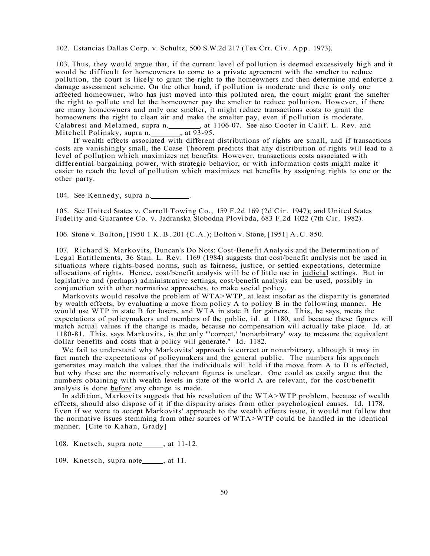102. Estancias Dallas Corp. v. Schultz, 500 S.W.2d 217 (Tex Crt. Civ. App. 1973).

103. Thus, they would argue that, if the current level of pollution is deemed excessively high and it would be difficult for homeowners to come to a private agreement with the smelter to reduce pollution, the court is likely to grant the right to the homeowners and then determine and enforce a damage assessment scheme. On the other hand, if pollution is moderate and there is only one affected homeowner, who has just moved into this polluted area, the court might grant the smelter the right to pollute and let the homeowner pay the smelter to reduce pollution. However, if there are many homeowners and only one smelter, it might reduce transactions costs to grant the homeowners the right to clean air and make the smelter pay, even if pollution is moderate. Calabresi and Melamed, supra n. , at 1106-07. See also Cooter in Calif. L. Rev. and Mitchell Polinsky, supra n. , at 93-95. Mitchell Polinsky, supra n.

If wealth effects associated with different distributions of rights are small, and if transactions costs are vanishingly small, the Coase Theorem predicts that any distribution of rights will lead to a level of pollution which maximizes net benefits. However, transactions costs associated with differential bargaining power, with strategic behavior, or with information costs might make it easier to reach the level of pollution which maximizes net benefits by assigning rights to one or the other party.

104. See Kennedy, supra n.

105. See United States v. Carroll Towing Co., 159 F.2d 169 (2d Cir. 1947); and United States Fidelity and Guarantee Co. v. Jadranska Slobodna Plovibda, 683 F.2d 1022 (7th Cir. 1982).

106. Stone v. Bolton, [1950 1 K.B. 201 (C.A.); Bolton v. Stone, [1951] A.C. 850.

107. Richard S. Markovits, Duncan's Do Nots: Cost-Benefit Analysis and the Determination of Legal Entitlements, 36 Stan. L. Rev. 1169 (1984) suggests that cost/benefit analysis not be used in situations where rights-based norms, such as fairness, justice, or settled expectations, determine allocations of rights. Hence, cost/benefit analysis will be of little use in judicial settings. But in legislative and (perhaps) administrative settings, cost/benefit analysis can be used, possibly in conjunction with other normative approaches, to make social policy.

Markovits would resolve the problem of WTA>WTP, at least insofar as the disparity is generated by wealth effects, by evaluating a move from policy A to policy B in the following manner. He would use WTP in state B for losers, and WTA in state B for gainers. This, he says, meets the expectations of policymakers and members of the public, id. at 1180, and because these figures will match actual values if the change is made, because no compensation will actually take place. Id. at 1180-81. This, says Markovits, is the only "'correct,' 'nonarbitrary' way to measure the equivalent dollar benefits and costs that a policy will generate." Id. 1182.

We fail to understand why Markovits' approach is correct or nonarbitrary, although it may in fact match the expectations of policymakers and the general public. The numbers his approach generates may match the values that the individuals will hold if the move from A to B is effected, but why these are the normatively relevant figures is unclear. One could as easily argue that the numbers obtaining with wealth levels in state of the world A are relevant, for the cost/benefit analysis is done before any change is made.

In addition, Markovits suggests that his resolution of the WTA>WTP problem, because of wealth effects, should also dispose of it if the disparity arises from other psychological causes. Id. 1178. Even if we were to accept Markovits' approach to the wealth effects issue, it would not follow that the normative issues stemming from other sources of WTA>WTP could be handled in the identical manner. [Cite to Kahan, Grady]

108. Knetsch, supra note  $\qquad$ , at 11-12.

109. Knetsch, supra note<sub>, at 11.</sub>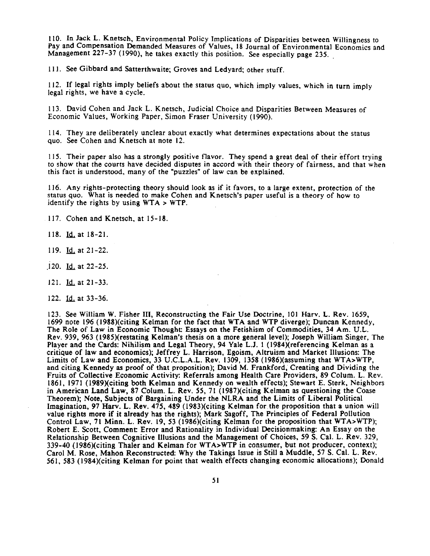110. In Jack L. Knetsch, Environmental Policy Implications of Disparities between Willingness to Pay and Compensation Demanded Measures of Values, 18 Journal of Environmental Economics and Management 227-37 (1990), he takes exactly this position. See especially page 235.

111. See Gibbard and Satterthwaite; Groves and Ledyard; other stuff.

112. If legal rights imply beliefs about the status quo, which imply values, which in turn imply legal rights, we have a cycle.

113. David Cohen and Jack L. Knetsch, Judicial Choice and Disparities Between Measures of Economic Values, Working Paper, Simon Fraser University (1990).

114. They are deliberately unclear about exactly what determines expectations about the status quo. See Cohen and Knetsch at note 12.

115. Their paper also has a strongly positive flavor. They spend a great deal of their effort trying to show that the courts have decided disputes in accord with their theory of fairness, and that when this fact is understood, many of the "puzzles" of law can be explained.

116. Any rights-protecting theory should look as if it favors, to a large extent, protection of the status quo. What is needed to make Cohen and Knetsch's paper useful is a theory of how to identify the rights by using  $WTA > WTP$ .

117. Cohen and Knetsch, at 15-18.

118. Id. at  $18-21$ .

119. Id. at 21-22.

 $120.$  Id. at 22-25.

121.  $Id.$  at 21-33.

122. Id. at 33-36.

123. See William W. Fisher III, Reconstructing the Fair Use Doctrine, 101 Harv. L. Rev. 1659, 1699 note 196 (1988)(citing Kelman for the fact that WTA and WTP diverge); Duncan Kennedy, The Role of Law in Economic Thought: Essays on the Fetishism of Commodities, 34 Am. U.L. Rev. 939, 963 (1985)(restating Kelman's thesis on a more general level); Joseph William Singer, The Player and the Cards: Nihilism and Legal Theory, 94 Yale L.J. 1 (1984)(referencing Kelman as a critique of law and economics); Jeffrey L. Harrison, Egoism, Altruism and Market Illusions: The Limits of Law and Economics, 33 U.C.L.A.L. Rev. 1309, 1358 (1986)(assuming that WTA>WTP, and citing Kennedy as proof of that proposition); David M. Frankford, Creating and Dividing the Fruits of Collective Economic Activity: Referrals among Health Care Providers, 89 Colum. L. Rev. 1861, 1971 (1989)(citing both Kelman and Kennedy on wealth effects); Stewart E. Sterk, Neighbors in American Land Law, 87 Colum. L. Rev. 55, 71 (1987)(citing Kelman as questioning the Coase Theorem); Note, Subjects of Bargaining Under the NLRA and the Limits of Liberal Political Imagination, 97 Harv. L. Rev. 475, 489 (1983)(citing Kelman for the proposition that a union will value rights more if it already has the rights); Mark Sagoff, The Principles of Federal Pollution Control Law, 71 Minn. L. Rev. 19, 53 (1986)(citing Kelman for the proposition that WTA>WTP); Robert E. Scott, Comment: Error and Rationality in Individual Decisionmaking: An Essay on the Relationship Between Cognitive Illusions and the Management of Choices, 59 S. Cal. L. Rev. 329, 339-40 (1986)(citing Thaler and Kelman for WTA>WTP in consumer, but not producer, context); Carol M. Rose, Mahon Reconstructed: Why the Takings Issue is Still a Muddle, 57 S. Cal. L. Rev. 561, 583 (1984)(citing Kelman for point that wealth effects changing economic allocations); Donald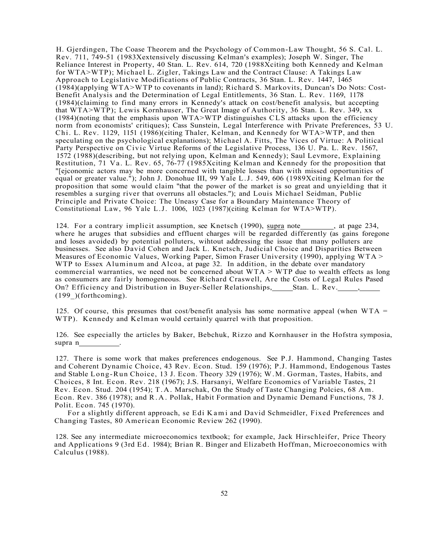H. Gjerdingen, The Coase Theorem and the Psychology of Common-Law Thought, 56 S. Cal. L. Rev. 711, 749-51 (1983Xextensively discussing Kelman's examples); Joseph W. Singer, The Reliance Interest in Property, 40 Stan. L. Rev. 614, 720 (1988Xciting both Kennedy and Kelman for WTA>WTP); Michael L. Zigler, Takings Law and the Contract Clause: A Takings Law Approach to Legislative Modifications of Public Contracts, 36 Stan. L. Rev. 1447, 1465 (1984)(applying WTA>WTP to covenants in land); Richard S. Markovits, Duncan's Do Nots: Cost-Benefit Analysis and the Determination of Legal Entitlements, 36 Stan. L. Rev. 1169, 1178 (1984)(claiming to find many errors in Kennedy's attack on cost/benefit analysis, but accepting that WTA>WTP); Lewis Kornhauser, The Great Image of Authority, 36 Stan. L. Rev. 349, xx (1984)(noting that the emphasis upon WTA>WTP distinguishes CLS attacks upon the efficiency norm from economists' critiques); Cass Sunstein, Legal Interference with Private Preferences, 53 U. Chi. L. Rev. 1129, 1151 (1986)(citing Thaler, Kelman, and Kennedy for WTA>WTP, and then speculating on the psychological explanations); Michael A. Fitts, The Vices of Virtue: A Political Party Perspective on Civic Virtue Reforms of the Legislative Process, 136 U. Pa. L. Rev. 1567, 1572 (1988)(describing, but not relying upon, Kelman and Kennedy); Saul Levmore, Explaining Restitution, 71 Va . L. Rev. 65, 76-77 (1985Xciting Kelman and Kennedy for the proposition that "[ejconomic actors may be more concerned with tangible losses than with missed opportunities of equal or greater value."); John J. Donohue III, 99 Yale L.J. 549, 606 (1989Xciting Kelman for the proposition that some would claim "that the power of the market is so great and unyielding that it resembles a surging river that overruns all obstacles."); and Louis Michael Seidman, Public Principle and Private Choice: The Uneasy Case for a Boundary Maintenance Theory of Constitutional Law, 96 Yale L.J. 1006, 1023 (1987)(citing Kelman for WTA>WTP).

124. For a contrary implicit assumption, see Knetsch (1990), supra note\_\_\_\_\_\_, at page 234, where he aruges that subsidies and effluent charges will be regarded differently (as gains foregone and loses avoided) by potential polluters, wihtout addressing the issue that many polluters are businesses. See also David Cohen and Jack L. Knetsch, Judicial Choice and Disparities Between Measures of Economic Values, Working Paper, Simon Fraser University (1990), applying WTA > WTP to Essex Aluminum and Alcoa, at page 32. In addition, in the debate over mandatory commercial warranties, we need not be concerned about  $WTA > WTP$  due to wealth effects as long as consumers are fairly homogeneous. See Richard Craswell, Are the Costs of Legal Rules Pased On? Efficiency and Distribution in Buyer-Seller Relationships, Stan. L. Rev.  $(199)$  (forthcoming).

125. Of course, this presumes that cost/benefit analysis has some normative appeal (when  $WTA =$ WTP). Kennedy and Kelman would certainly quarrel with that proposition.

126. See especially the articles by Baker, Bebchuk, Rizzo and Kornhauser in the Hofstra symposia, supra n

127. There is some work that makes preferences endogenous. See P.J. Hammond, Changing Tastes and Coherent Dynamic Choice, 43 Rev. Econ. Stud. 159 (1976); P.J. Hammond, Endogenous Tastes and Stable Long-Run Choice, 13 J. Econ. Theory 329 (1976); W.M. Gorman, Tastes, Habits, and Choices, 8 Int. Econ. Rev. 218 (1967); J.S. Harsanyi, Welfare Economics of Variable Tastes, 21 Rev. Econ. Stud. 204 (1954); T.A. Marschak, On the Study of Taste Changing Polcies, 68 Am. Econ. Rev. 386 (1978); and R.A . Pollak, Habit Formation and Dynamic Demand Functions, 78 J. Polit. Econ. 745 (1970).

For a slightly different approach, se Edi Kami and David Schmeidler, Fixed Preferences and Changing Tastes, 80 American Economic Review 262 (1990).

128. See any intermediate microeconomics textbook; for example, Jack Hirschleifer, Price Theory and Applications 9 (3rd Ed. 1984); Brian R. Binger and Elizabeth Hoffman, Microeconomics with Calculus (1988).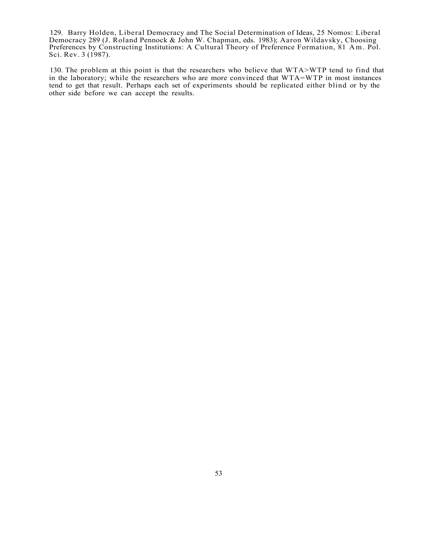129. Barry Holden, Liberal Democracy and The Social Determination of Ideas, 25 Nomos: Liberal Democracy 289 (J. Roland Pennock & John W. Chapman, eds. 1983); Aaron Wildavsky, Choosing Preferences by Constructing Institutions: A Cultural Theory of Preference Formation, 81 Am. Pol. Sci. Rev. 3 (1987).

130. The problem at this point is that the researchers who believe that WTA>WTP tend to find that in the laboratory; while the researchers who are more convinced that WTA=WTP in most instances tend to get that result. Perhaps each set of experiments should be replicated either blind or by the other side before we can accept the results.